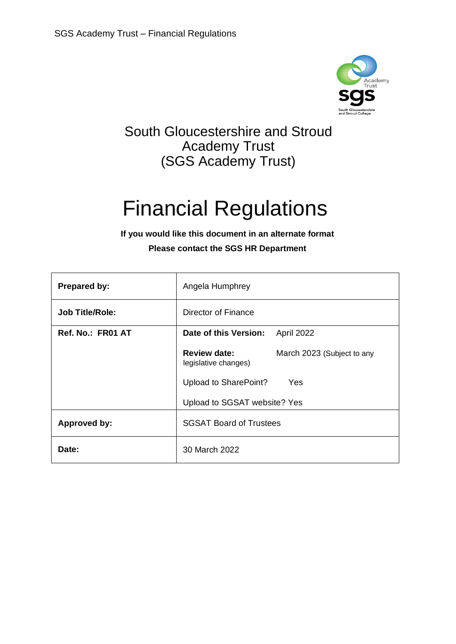

# South Gloucestershire and Stroud Academy Trust (SGS Academy Trust)

# Financial Regulations

# **If you would like this document in an alternate format Please contact the SGS HR Department**

| <b>Prepared by:</b>    | Angela Humphrey                                                           |
|------------------------|---------------------------------------------------------------------------|
| <b>Job Title/Role:</b> | Director of Finance                                                       |
| Ref. No.: FR01 AT      | Date of this Version:<br>April 2022                                       |
|                        | <b>Review date:</b><br>March 2023 (Subject to any<br>legislative changes) |
|                        | Upload to SharePoint?<br>Yes                                              |
|                        | Upload to SGSAT website? Yes                                              |
| <b>Approved by:</b>    | <b>SGSAT Board of Trustees</b>                                            |
| Date:                  | 30 March 2022                                                             |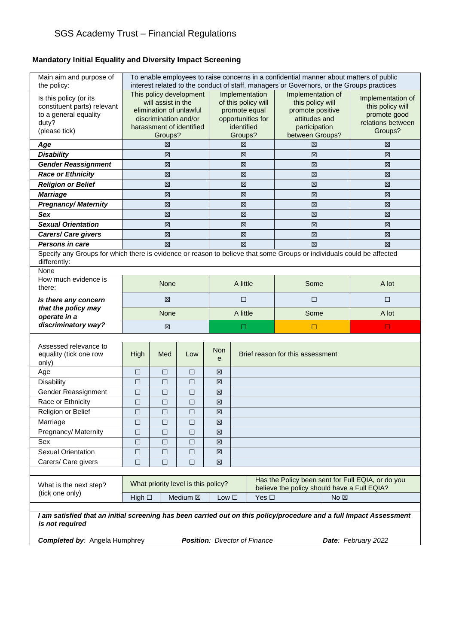# SGS Academy Trust – Financial Regulations

# **Mandatory Initial Equality and Diversity Impact Screening**

| Main aim and purpose of<br>the policy:                                                                                                 | To enable employees to raise concerns in a confidential manner about matters of public<br>interest related to the conduct of staff, managers or Governors, or the Groups practices |              |                  |                                                                                                                                                      |                  |                                                                                                                |                                                                                       |                     |
|----------------------------------------------------------------------------------------------------------------------------------------|------------------------------------------------------------------------------------------------------------------------------------------------------------------------------------|--------------|------------------|------------------------------------------------------------------------------------------------------------------------------------------------------|------------------|----------------------------------------------------------------------------------------------------------------|---------------------------------------------------------------------------------------|---------------------|
| Is this policy (or its<br>constituent parts) relevant<br>to a general equality<br>duty?<br>(please tick)                               | This policy development<br>will assist in the<br>elimination of unlawful<br>discrimination and/or<br>harassment of identified                                                      |              |                  | Implementation<br>of this policy will<br>promote equal<br>opportunities for<br>identified<br>Groups?                                                 |                  | Implementation of<br>this policy will<br>promote positive<br>attitudes and<br>participation<br>between Groups? | Implementation of<br>this policy will<br>promote good<br>relations between<br>Groups? |                     |
| Age                                                                                                                                    |                                                                                                                                                                                    | Groups?<br>区 |                  |                                                                                                                                                      | 図                |                                                                                                                | 冈                                                                                     | 図                   |
| <b>Disability</b>                                                                                                                      |                                                                                                                                                                                    | 区            |                  |                                                                                                                                                      | 区                |                                                                                                                | 冈                                                                                     | 区                   |
| <b>Gender Reassignment</b>                                                                                                             |                                                                                                                                                                                    | 区            |                  |                                                                                                                                                      | 図                |                                                                                                                | 区                                                                                     | 図                   |
| <b>Race or Ethnicity</b>                                                                                                               |                                                                                                                                                                                    | 図            |                  |                                                                                                                                                      | 図                |                                                                                                                | 冈                                                                                     | 図                   |
| <b>Religion or Belief</b>                                                                                                              |                                                                                                                                                                                    | 区            |                  |                                                                                                                                                      | 区                |                                                                                                                | 区                                                                                     | 図                   |
| <b>Marriage</b>                                                                                                                        |                                                                                                                                                                                    | ⊠            |                  |                                                                                                                                                      | 図                |                                                                                                                | ⊠                                                                                     | 図                   |
| <b>Pregnancy/Maternity</b>                                                                                                             |                                                                                                                                                                                    | 区            |                  |                                                                                                                                                      | 区                |                                                                                                                | 冈                                                                                     | 区                   |
| Sex                                                                                                                                    |                                                                                                                                                                                    | 区            |                  |                                                                                                                                                      | 図                |                                                                                                                | 冈                                                                                     | 区                   |
| <b>Sexual Orientation</b>                                                                                                              |                                                                                                                                                                                    | 区            |                  |                                                                                                                                                      | 区                |                                                                                                                | 図                                                                                     | 区                   |
| Carers/ Care givers                                                                                                                    |                                                                                                                                                                                    | 図            |                  |                                                                                                                                                      | 図                |                                                                                                                | 区                                                                                     | 図                   |
| <b>Persons in care</b>                                                                                                                 |                                                                                                                                                                                    | 区            |                  |                                                                                                                                                      | 区                |                                                                                                                | 区                                                                                     | 図                   |
| Specify any Groups for which there is evidence or reason to believe that some Groups or individuals could be affected<br>differently:  |                                                                                                                                                                                    |              |                  |                                                                                                                                                      |                  |                                                                                                                |                                                                                       |                     |
| None                                                                                                                                   |                                                                                                                                                                                    |              |                  |                                                                                                                                                      |                  |                                                                                                                |                                                                                       |                     |
| How much evidence is<br>there:                                                                                                         |                                                                                                                                                                                    | None         |                  |                                                                                                                                                      | A little<br>Some |                                                                                                                | A lot                                                                                 |                     |
| Is there any concern                                                                                                                   | 区                                                                                                                                                                                  |              |                  | □                                                                                                                                                    |                  | □                                                                                                              | □                                                                                     |                     |
| that the policy may<br>operate in a                                                                                                    |                                                                                                                                                                                    | None         |                  |                                                                                                                                                      | A little         |                                                                                                                | Some                                                                                  | A lot               |
| discriminatory way?                                                                                                                    |                                                                                                                                                                                    | 区            |                  |                                                                                                                                                      | □                |                                                                                                                | □                                                                                     | $\Box$              |
|                                                                                                                                        |                                                                                                                                                                                    |              |                  |                                                                                                                                                      |                  |                                                                                                                |                                                                                       |                     |
| Assessed relevance to<br>equality (tick one row<br>only)                                                                               | High                                                                                                                                                                               | Med          | Low              | <b>Non</b><br>e                                                                                                                                      |                  |                                                                                                                | Brief reason for this assessment                                                      |                     |
| Age                                                                                                                                    | $\Box$                                                                                                                                                                             | □            | $\Box$           | 図                                                                                                                                                    |                  |                                                                                                                |                                                                                       |                     |
| Disability                                                                                                                             | □                                                                                                                                                                                  | □            | $\Box$           | 図                                                                                                                                                    |                  |                                                                                                                |                                                                                       |                     |
| Gender Reassignment                                                                                                                    | □                                                                                                                                                                                  | □            | □                | 図                                                                                                                                                    |                  |                                                                                                                |                                                                                       |                     |
| Race or Ethnicity                                                                                                                      | □                                                                                                                                                                                  | □            | □                | ⊠                                                                                                                                                    |                  |                                                                                                                |                                                                                       |                     |
| Religion or Belief                                                                                                                     | $\Box$                                                                                                                                                                             | $\Box$       | $\Box$           | $\boxtimes$                                                                                                                                          |                  |                                                                                                                |                                                                                       |                     |
| Marriage                                                                                                                               | □                                                                                                                                                                                  | □            | □                | 図                                                                                                                                                    |                  |                                                                                                                |                                                                                       |                     |
| Pregnancy/ Maternity                                                                                                                   | □                                                                                                                                                                                  | □            | □                | ⊠                                                                                                                                                    |                  |                                                                                                                |                                                                                       |                     |
| Sex                                                                                                                                    | □                                                                                                                                                                                  | $\Box$       | $\Box$           | ⊠                                                                                                                                                    |                  |                                                                                                                |                                                                                       |                     |
| <b>Sexual Orientation</b>                                                                                                              | $\Box$<br>$\Box$                                                                                                                                                                   | □<br>$\Box$  | $\Box$<br>$\Box$ | 図<br>図                                                                                                                                               |                  |                                                                                                                |                                                                                       |                     |
| Carers/ Care givers                                                                                                                    |                                                                                                                                                                                    |              |                  |                                                                                                                                                      |                  |                                                                                                                |                                                                                       |                     |
| What is the next step?<br>(tick one only)                                                                                              | What priority level is this policy?<br>Medium ⊠                                                                                                                                    |              |                  | Has the Policy been sent for Full EQIA, or do you<br>believe the policy should have a Full EQIA?<br>Yes $\square$<br>Low $\square$<br>No $\boxtimes$ |                  |                                                                                                                |                                                                                       |                     |
|                                                                                                                                        | High $\square$                                                                                                                                                                     |              |                  |                                                                                                                                                      |                  |                                                                                                                |                                                                                       |                     |
| I am satisfied that an initial screening has been carried out on this policy/procedure and a full Impact Assessment<br>is not required |                                                                                                                                                                                    |              |                  |                                                                                                                                                      |                  |                                                                                                                |                                                                                       |                     |
| <b>Completed by: Angela Humphrey</b>                                                                                                   |                                                                                                                                                                                    |              |                  |                                                                                                                                                      |                  | <b>Position:</b> Director of Finance                                                                           |                                                                                       | Date: February 2022 |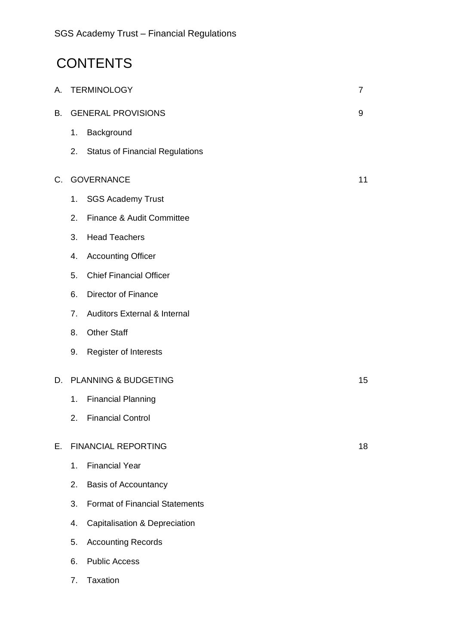# **CONTENTS**

| А.          | <b>TERMINOLOGY</b><br>7 |                                          |    |
|-------------|-------------------------|------------------------------------------|----|
| В.          |                         | <b>GENERAL PROVISIONS</b>                | 9  |
|             | 1.                      | Background                               |    |
|             | 2.                      | <b>Status of Financial Regulations</b>   |    |
| $C_{\cdot}$ |                         | <b>GOVERNANCE</b>                        | 11 |
|             | 1.                      | <b>SGS Academy Trust</b>                 |    |
|             | 2.                      | Finance & Audit Committee                |    |
|             | 3.                      | <b>Head Teachers</b>                     |    |
|             | 4.                      | <b>Accounting Officer</b>                |    |
|             | 5.                      | <b>Chief Financial Officer</b>           |    |
|             | 6.                      | <b>Director of Finance</b>               |    |
|             | 7 <sub>1</sub>          | <b>Auditors External &amp; Internal</b>  |    |
|             | 8.                      | <b>Other Staff</b>                       |    |
|             | 9.                      | <b>Register of Interests</b>             |    |
| D.          |                         | PLANNING & BUDGETING                     | 15 |
|             | 1.                      | <b>Financial Planning</b>                |    |
|             | 2.                      | <b>Financial Control</b>                 |    |
| E.          |                         | <b>FINANCIAL REPORTING</b>               | 18 |
|             | 1.                      | <b>Financial Year</b>                    |    |
|             | 2.                      | <b>Basis of Accountancy</b>              |    |
|             | 3.                      | <b>Format of Financial Statements</b>    |    |
|             | 4.                      | <b>Capitalisation &amp; Depreciation</b> |    |
|             | 5.                      | <b>Accounting Records</b>                |    |

- 6. Public Access
- 7. Taxation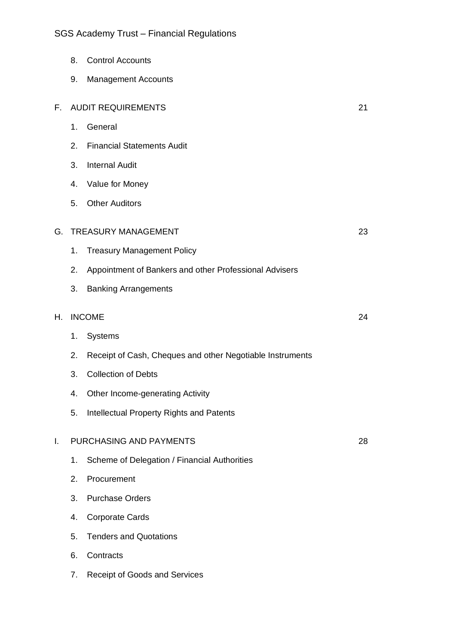|    | 8. | <b>Control Accounts</b>                                   |    |
|----|----|-----------------------------------------------------------|----|
|    | 9. | <b>Management Accounts</b>                                |    |
| F. |    | <b>AUDIT REQUIREMENTS</b>                                 | 21 |
|    | 1. | General                                                   |    |
|    | 2. | <b>Financial Statements Audit</b>                         |    |
|    | 3. | <b>Internal Audit</b>                                     |    |
|    | 4. | Value for Money                                           |    |
|    | 5. | <b>Other Auditors</b>                                     |    |
| G. |    | <b>TREASURY MANAGEMENT</b>                                | 23 |
|    | 1. | <b>Treasury Management Policy</b>                         |    |
|    | 2. | Appointment of Bankers and other Professional Advisers    |    |
|    | 3. | <b>Banking Arrangements</b>                               |    |
| Н. |    | <b>INCOME</b>                                             | 24 |
|    | 1. | Systems                                                   |    |
|    | 2. | Receipt of Cash, Cheques and other Negotiable Instruments |    |
|    | 3. | <b>Collection of Debts</b>                                |    |
|    | 4. | Other Income-generating Activity                          |    |
|    | 5. | Intellectual Property Rights and Patents                  |    |
| I. |    | PURCHASING AND PAYMENTS                                   | 28 |
|    | 1. | Scheme of Delegation / Financial Authorities              |    |
|    | 2. | Procurement                                               |    |
|    |    | <b>Purchase Orders</b>                                    |    |
|    | 3. |                                                           |    |
|    | 4. | <b>Corporate Cards</b>                                    |    |
|    | 5. | <b>Tenders and Quotations</b>                             |    |

7. Receipt of Goods and Services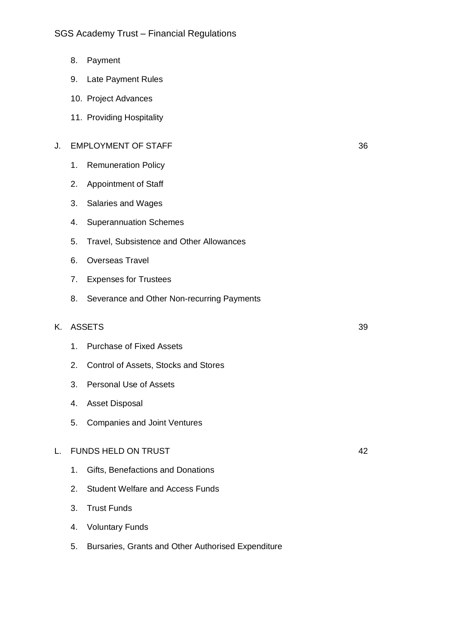- 8. Payment
- 9. Late Payment Rules
- 10. Project Advances
- 11. Providing Hospitality

### J. EMPLOYMENT OF STAFF 36

- 1. Remuneration Policy
- 2. Appointment of Staff
- 3. Salaries and Wages
- 4. Superannuation Schemes
- 5. Travel, Subsistence and Other Allowances
- 6. Overseas Travel
- 7. Expenses for Trustees
- 8. Severance and Other Non-recurring Payments

#### K. ASSETS 39

- 1. Purchase of Fixed Assets
- 2. Control of Assets, Stocks and Stores
- 3. Personal Use of Assets
- 4. Asset Disposal
- 5. Companies and Joint Ventures

#### L. FUNDS HELD ON TRUST **12000 FM STATES AND ASSAULT** 12000 FM STATES 42

- 1. Gifts, Benefactions and Donations
- 2. Student Welfare and Access Funds
- 3. Trust Funds
- 4. Voluntary Funds
- 5. Bursaries, Grants and Other Authorised Expenditure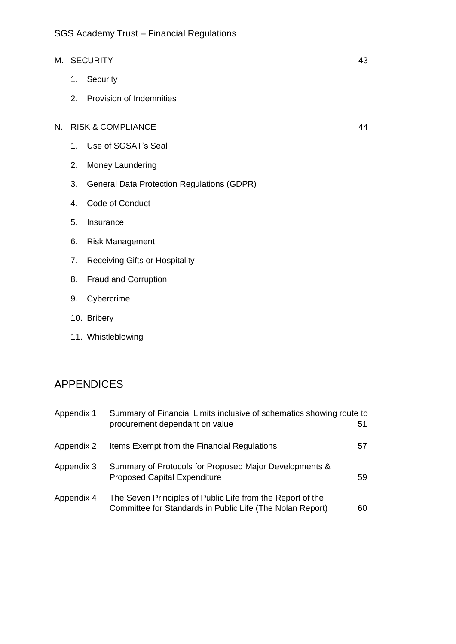- M. SECURITY 43
	- 1. Security
	- 2. Provision of Indemnities

# N. RISK & COMPLIANCE 44

- 1. Use of SGSAT's Seal
- 2. Money Laundering
- 3. General Data Protection Regulations (GDPR)
- 4. Code of Conduct
- 5. Insurance
- 6. Risk Management
- 7. Receiving Gifts or Hospitality
- 8. Fraud and Corruption
- 9. Cybercrime
- 10. Bribery
- 11. Whistleblowing

# APPENDICES

| Appendix 1 | Summary of Financial Limits inclusive of schematics showing route to                                                    |    |
|------------|-------------------------------------------------------------------------------------------------------------------------|----|
|            | procurement dependant on value                                                                                          | 51 |
| Appendix 2 | Items Exempt from the Financial Regulations                                                                             | 57 |
| Appendix 3 | Summary of Protocols for Proposed Major Developments &<br><b>Proposed Capital Expenditure</b>                           | 59 |
| Appendix 4 | The Seven Principles of Public Life from the Report of the<br>Committee for Standards in Public Life (The Nolan Report) | 60 |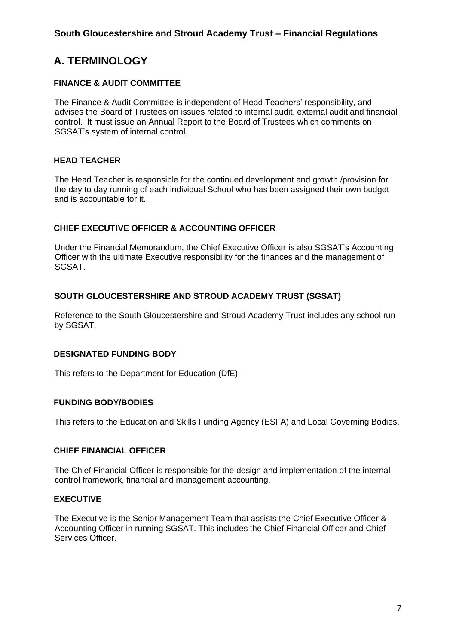# **A. TERMINOLOGY**

# **FINANCE & AUDIT COMMITTEE**

The Finance & Audit Committee is independent of Head Teachers' responsibility, and advises the Board of Trustees on issues related to internal audit, external audit and financial control. It must issue an Annual Report to the Board of Trustees which comments on SGSAT's system of internal control.

# **HEAD TEACHER**

The Head Teacher is responsible for the continued development and growth /provision for the day to day running of each individual School who has been assigned their own budget and is accountable for it.

# **CHIEF EXECUTIVE OFFICER & ACCOUNTING OFFICER**

Under the Financial Memorandum, the Chief Executive Officer is also SGSAT's Accounting Officer with the ultimate Executive responsibility for the finances and the management of SGSAT.

# **SOUTH GLOUCESTERSHIRE AND STROUD ACADEMY TRUST (SGSAT)**

Reference to the South Gloucestershire and Stroud Academy Trust includes any school run by SGSAT.

# **DESIGNATED FUNDING BODY**

This refers to the Department for Education (DfE).

# **FUNDING BODY/BODIES**

This refers to the Education and Skills Funding Agency (ESFA) and Local Governing Bodies.

# **CHIEF FINANCIAL OFFICER**

The Chief Financial Officer is responsible for the design and implementation of the internal control framework, financial and management accounting.

#### **EXECUTIVE**

The Executive is the Senior Management Team that assists the Chief Executive Officer & Accounting Officer in running SGSAT. This includes the Chief Financial Officer and Chief Services Officer.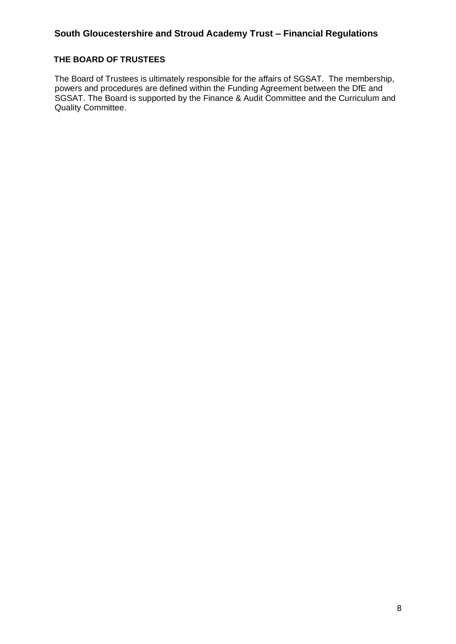#### **THE BOARD OF TRUSTEES**

The Board of Trustees is ultimately responsible for the affairs of SGSAT. The membership, powers and procedures are defined within the Funding Agreement between the DfE and SGSAT. The Board is supported by the Finance & Audit Committee and the Curriculum and Quality Committee.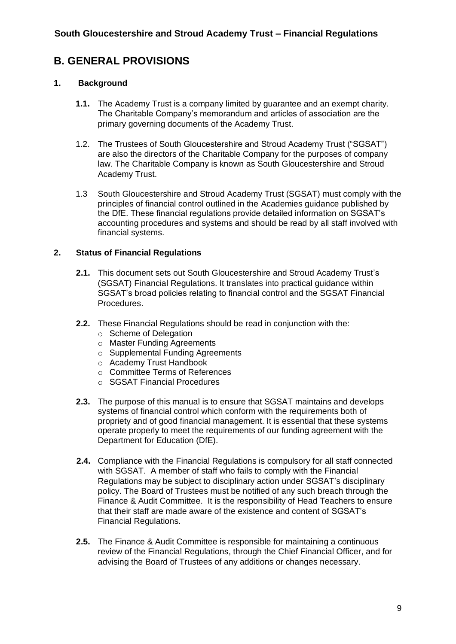# **B. GENERAL PROVISIONS**

# **1. Background**

- **1.1.** The Academy Trust is a company limited by guarantee and an exempt charity. The Charitable Company's memorandum and articles of association are the primary governing documents of the Academy Trust.
- 1.2. The Trustees of South Gloucestershire and Stroud Academy Trust ("SGSAT") are also the directors of the Charitable Company for the purposes of company law. The Charitable Company is known as South Gloucestershire and Stroud Academy Trust.
- 1.3 South Gloucestershire and Stroud Academy Trust (SGSAT) must comply with the principles of financial control outlined in the Academies guidance published by the DfE. These financial regulations provide detailed information on SGSAT's accounting procedures and systems and should be read by all staff involved with financial systems.

# **2. Status of Financial Regulations**

- **2.1.** This document sets out South Gloucestershire and Stroud Academy Trust's (SGSAT) Financial Regulations. It translates into practical guidance within SGSAT's broad policies relating to financial control and the SGSAT Financial Procedures.
- **2.2.** These Financial Regulations should be read in conjunction with the:
	- o Scheme of Delegation
	- o Master Funding Agreements
	- o Supplemental Funding Agreements
	- o Academy Trust Handbook
	- o Committee Terms of References
	- o SGSAT Financial Procedures
- **2.3.** The purpose of this manual is to ensure that SGSAT maintains and develops systems of financial control which conform with the requirements both of propriety and of good financial management. It is essential that these systems operate properly to meet the requirements of our funding agreement with the Department for Education (DfE).
- **2.4.** Compliance with the Financial Regulations is compulsory for all staff connected with SGSAT. A member of staff who fails to comply with the Financial Regulations may be subject to disciplinary action under SGSAT's disciplinary policy. The Board of Trustees must be notified of any such breach through the Finance & Audit Committee. It is the responsibility of Head Teachers to ensure that their staff are made aware of the existence and content of SGSAT's Financial Regulations.
- **2.5.** The Finance & Audit Committee is responsible for maintaining a continuous review of the Financial Regulations, through the Chief Financial Officer, and for advising the Board of Trustees of any additions or changes necessary.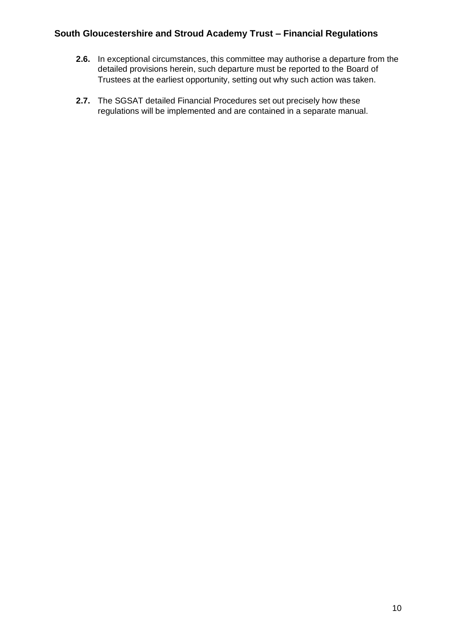- **2.6.** In exceptional circumstances, this committee may authorise a departure from the detailed provisions herein, such departure must be reported to the Board of Trustees at the earliest opportunity, setting out why such action was taken.
- **2.7.** The SGSAT detailed Financial Procedures set out precisely how these regulations will be implemented and are contained in a separate manual.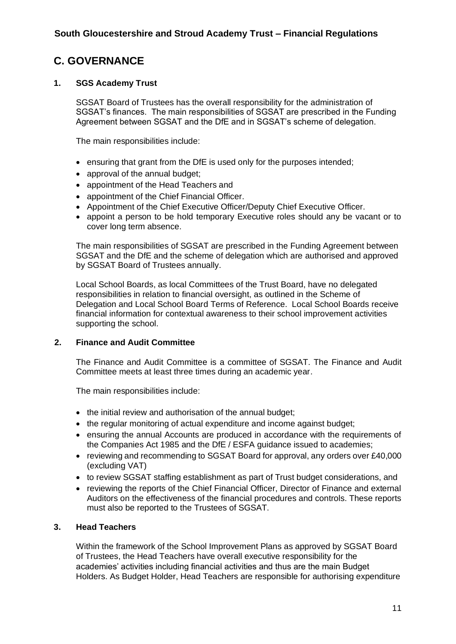# **C. GOVERNANCE**

#### **1. SGS Academy Trust**

SGSAT Board of Trustees has the overall responsibility for the administration of SGSAT's finances. The main responsibilities of SGSAT are prescribed in the Funding Agreement between SGSAT and the DfE and in SGSAT's scheme of delegation.

The main responsibilities include:

- ensuring that grant from the DfE is used only for the purposes intended;
- approval of the annual budget:
- appointment of the Head Teachers and
- appointment of the Chief Financial Officer.
- Appointment of the Chief Executive Officer/Deputy Chief Executive Officer.
- appoint a person to be hold temporary Executive roles should any be vacant or to cover long term absence.

The main responsibilities of SGSAT are prescribed in the Funding Agreement between SGSAT and the DfE and the scheme of delegation which are authorised and approved by SGSAT Board of Trustees annually.

Local School Boards, as local Committees of the Trust Board, have no delegated responsibilities in relation to financial oversight, as outlined in the Scheme of Delegation and Local School Board Terms of Reference. Local School Boards receive financial information for contextual awareness to their school improvement activities supporting the school.

#### **2. Finance and Audit Committee**

The Finance and Audit Committee is a committee of SGSAT. The Finance and Audit Committee meets at least three times during an academic year.

The main responsibilities include:

- the initial review and authorisation of the annual budget;
- the regular monitoring of actual expenditure and income against budget;
- ensuring the annual Accounts are produced in accordance with the requirements of the Companies Act 1985 and the DfE / ESFA guidance issued to academies;
- reviewing and recommending to SGSAT Board for approval, any orders over £40,000 (excluding VAT)
- to review SGSAT staffing establishment as part of Trust budget considerations, and
- reviewing the reports of the Chief Financial Officer, Director of Finance and external Auditors on the effectiveness of the financial procedures and controls. These reports must also be reported to the Trustees of SGSAT.

#### **3. Head Teachers**

Within the framework of the School Improvement Plans as approved by SGSAT Board of Trustees, the Head Teachers have overall executive responsibility for the academies' activities including financial activities and thus are the main Budget Holders. As Budget Holder, Head Teachers are responsible for authorising expenditure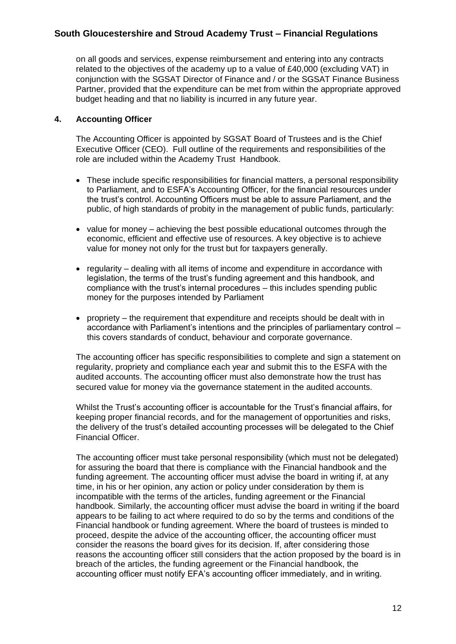on all goods and services, expense reimbursement and entering into any contracts related to the objectives of the academy up to a value of £40,000 (excluding VAT) in conjunction with the SGSAT Director of Finance and / or the SGSAT Finance Business Partner, provided that the expenditure can be met from within the appropriate approved budget heading and that no liability is incurred in any future year.

### **4. Accounting Officer**

The Accounting Officer is appointed by SGSAT Board of Trustees and is the Chief Executive Officer (CEO). Full outline of the requirements and responsibilities of the role are included within the Academy Trust Handbook.

- These include specific responsibilities for financial matters, a personal responsibility to Parliament, and to ESFA's Accounting Officer, for the financial resources under the trust's control. Accounting Officers must be able to assure Parliament, and the public, of high standards of probity in the management of public funds, particularly:
- value for money achieving the best possible educational outcomes through the economic, efficient and effective use of resources. A key objective is to achieve value for money not only for the trust but for taxpayers generally.
- regularity dealing with all items of income and expenditure in accordance with legislation, the terms of the trust's funding agreement and this handbook, and compliance with the trust's internal procedures – this includes spending public money for the purposes intended by Parliament
- propriety the requirement that expenditure and receipts should be dealt with in accordance with Parliament's intentions and the principles of parliamentary control – this covers standards of conduct, behaviour and corporate governance.

The accounting officer has specific responsibilities to complete and sign a statement on regularity, propriety and compliance each year and submit this to the ESFA with the audited accounts. The accounting officer must also demonstrate how the trust has secured value for money via the governance statement in the audited accounts.

Whilst the Trust's accounting officer is accountable for the Trust's financial affairs, for keeping proper financial records, and for the management of opportunities and risks, the delivery of the trust's detailed accounting processes will be delegated to the Chief Financial Officer.

The accounting officer must take personal responsibility (which must not be delegated) for assuring the board that there is compliance with the Financial handbook and the funding agreement. The accounting officer must advise the board in writing if, at any time, in his or her opinion, any action or policy under consideration by them is incompatible with the terms of the articles, funding agreement or the Financial handbook. Similarly, the accounting officer must advise the board in writing if the board appears to be failing to act where required to do so by the terms and conditions of the Financial handbook or funding agreement. Where the board of trustees is minded to proceed, despite the advice of the accounting officer, the accounting officer must consider the reasons the board gives for its decision. If, after considering those reasons the accounting officer still considers that the action proposed by the board is in breach of the articles, the funding agreement or the Financial handbook, the accounting officer must notify EFA's accounting officer immediately, and in writing.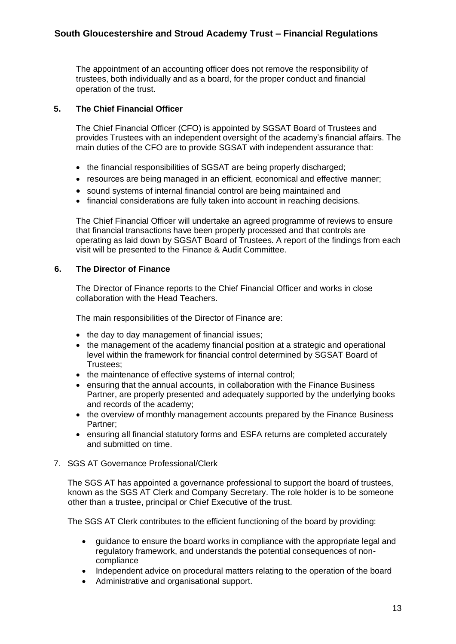The appointment of an accounting officer does not remove the responsibility of trustees, both individually and as a board, for the proper conduct and financial operation of the trust.

#### **5. The Chief Financial Officer**

The Chief Financial Officer (CFO) is appointed by SGSAT Board of Trustees and provides Trustees with an independent oversight of the academy's financial affairs. The main duties of the CFO are to provide SGSAT with independent assurance that:

- the financial responsibilities of SGSAT are being properly discharged;
- resources are being managed in an efficient, economical and effective manner;
- sound systems of internal financial control are being maintained and
- financial considerations are fully taken into account in reaching decisions.

The Chief Financial Officer will undertake an agreed programme of reviews to ensure that financial transactions have been properly processed and that controls are operating as laid down by SGSAT Board of Trustees. A report of the findings from each visit will be presented to the Finance & Audit Committee.

# **6. The Director of Finance**

The Director of Finance reports to the Chief Financial Officer and works in close collaboration with the Head Teachers.

The main responsibilities of the Director of Finance are:

- the day to day management of financial issues;
- the management of the academy financial position at a strategic and operational level within the framework for financial control determined by SGSAT Board of Trustees;
- the maintenance of effective systems of internal control:
- ensuring that the annual accounts, in collaboration with the Finance Business Partner, are properly presented and adequately supported by the underlying books and records of the academy;
- the overview of monthly management accounts prepared by the Finance Business Partner;
- ensuring all financial statutory forms and ESFA returns are completed accurately and submitted on time.
- 7. SGS AT Governance Professional/Clerk

The SGS AT has appointed a governance professional to support the board of trustees, known as the SGS AT Clerk and Company Secretary. The role holder is to be someone other than a trustee, principal or Chief Executive of the trust.

The SGS AT Clerk contributes to the efficient functioning of the board by providing:

- guidance to ensure the board works in compliance with the appropriate legal and regulatory framework, and understands the potential consequences of noncompliance
- Independent advice on procedural matters relating to the operation of the board
- Administrative and organisational support.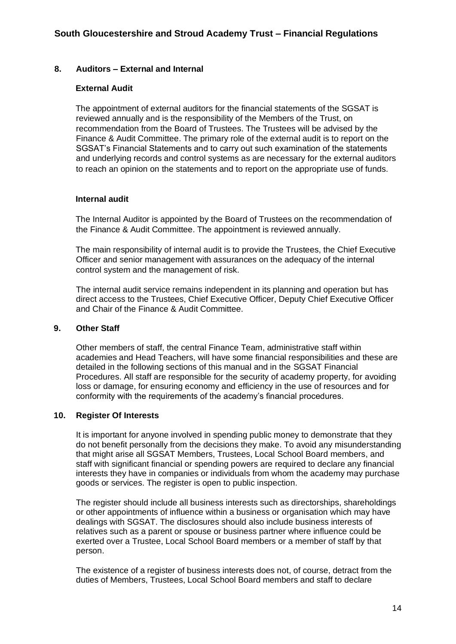#### **8. Auditors – External and Internal**

#### **External Audit**

The appointment of external auditors for the financial statements of the SGSAT is reviewed annually and is the responsibility of the Members of the Trust, on recommendation from the Board of Trustees. The Trustees will be advised by the Finance & Audit Committee. The primary role of the external audit is to report on the SGSAT's Financial Statements and to carry out such examination of the statements and underlying records and control systems as are necessary for the external auditors to reach an opinion on the statements and to report on the appropriate use of funds.

#### **Internal audit**

The Internal Auditor is appointed by the Board of Trustees on the recommendation of the Finance & Audit Committee. The appointment is reviewed annually.

The main responsibility of internal audit is to provide the Trustees, the Chief Executive Officer and senior management with assurances on the adequacy of the internal control system and the management of risk.

The internal audit service remains independent in its planning and operation but has direct access to the Trustees, Chief Executive Officer, Deputy Chief Executive Officer and Chair of the Finance & Audit Committee.

#### **9. Other Staff**

Other members of staff, the central Finance Team, administrative staff within academies and Head Teachers, will have some financial responsibilities and these are detailed in the following sections of this manual and in the SGSAT Financial Procedures. All staff are responsible for the security of academy property, for avoiding loss or damage, for ensuring economy and efficiency in the use of resources and for conformity with the requirements of the academy's financial procedures.

#### **10. Register Of Interests**

It is important for anyone involved in spending public money to demonstrate that they do not benefit personally from the decisions they make. To avoid any misunderstanding that might arise all SGSAT Members, Trustees, Local School Board members, and staff with significant financial or spending powers are required to declare any financial interests they have in companies or individuals from whom the academy may purchase goods or services. The register is open to public inspection.

The register should include all business interests such as directorships, shareholdings or other appointments of influence within a business or organisation which may have dealings with SGSAT. The disclosures should also include business interests of relatives such as a parent or spouse or business partner where influence could be exerted over a Trustee, Local School Board members or a member of staff by that person.

The existence of a register of business interests does not, of course, detract from the duties of Members, Trustees, Local School Board members and staff to declare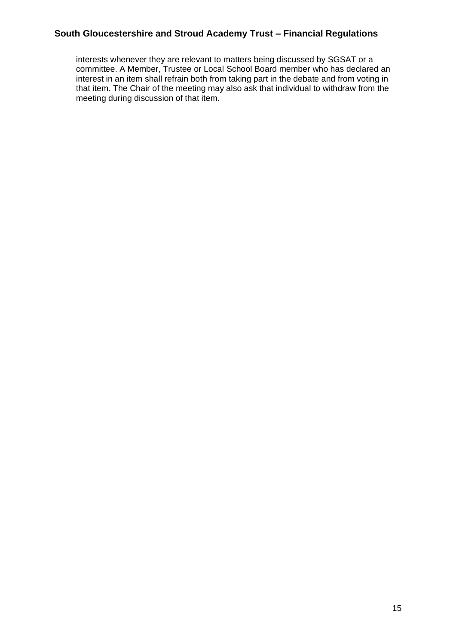interests whenever they are relevant to matters being discussed by SGSAT or a committee. A Member, Trustee or Local School Board member who has declared an interest in an item shall refrain both from taking part in the debate and from voting in that item. The Chair of the meeting may also ask that individual to withdraw from the meeting during discussion of that item.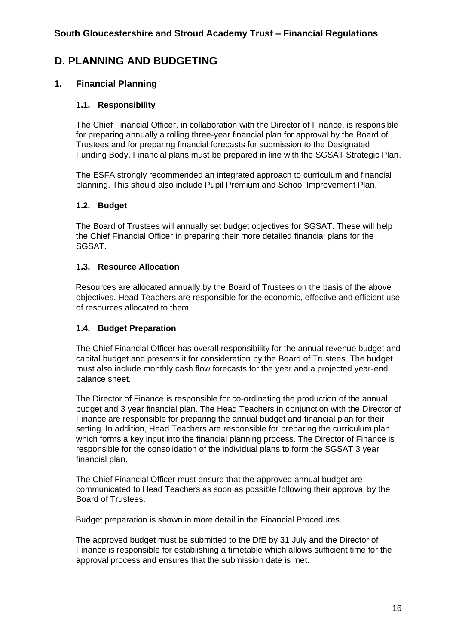# **D. PLANNING AND BUDGETING**

# **1. Financial Planning**

# **1.1. Responsibility**

The Chief Financial Officer, in collaboration with the Director of Finance, is responsible for preparing annually a rolling three-year financial plan for approval by the Board of Trustees and for preparing financial forecasts for submission to the Designated Funding Body. Financial plans must be prepared in line with the SGSAT Strategic Plan.

The ESFA strongly recommended an integrated approach to curriculum and financial planning. This should also include Pupil Premium and School Improvement Plan.

#### **1.2. Budget**

The Board of Trustees will annually set budget objectives for SGSAT. These will help the Chief Financial Officer in preparing their more detailed financial plans for the SGSAT.

#### **1.3. Resource Allocation**

Resources are allocated annually by the Board of Trustees on the basis of the above objectives. Head Teachers are responsible for the economic, effective and efficient use of resources allocated to them.

#### **1.4. Budget Preparation**

The Chief Financial Officer has overall responsibility for the annual revenue budget and capital budget and presents it for consideration by the Board of Trustees. The budget must also include monthly cash flow forecasts for the year and a projected year-end balance sheet.

The Director of Finance is responsible for co-ordinating the production of the annual budget and 3 year financial plan. The Head Teachers in conjunction with the Director of Finance are responsible for preparing the annual budget and financial plan for their setting. In addition, Head Teachers are responsible for preparing the curriculum plan which forms a key input into the financial planning process. The Director of Finance is responsible for the consolidation of the individual plans to form the SGSAT 3 year financial plan.

The Chief Financial Officer must ensure that the approved annual budget are communicated to Head Teachers as soon as possible following their approval by the Board of Trustees.

Budget preparation is shown in more detail in the Financial Procedures.

The approved budget must be submitted to the DfE by 31 July and the Director of Finance is responsible for establishing a timetable which allows sufficient time for the approval process and ensures that the submission date is met.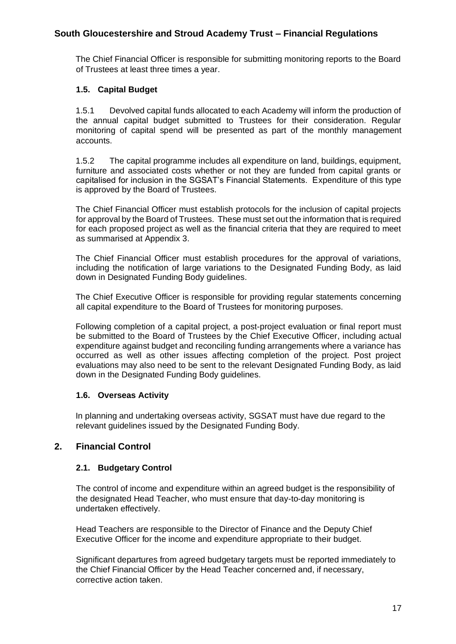The Chief Financial Officer is responsible for submitting monitoring reports to the Board of Trustees at least three times a year.

### **1.5. Capital Budget**

1.5.1 Devolved capital funds allocated to each Academy will inform the production of the annual capital budget submitted to Trustees for their consideration. Regular monitoring of capital spend will be presented as part of the monthly management accounts.

1.5.2 The capital programme includes all expenditure on land, buildings, equipment, furniture and associated costs whether or not they are funded from capital grants or capitalised for inclusion in the SGSAT's Financial Statements. Expenditure of this type is approved by the Board of Trustees.

The Chief Financial Officer must establish protocols for the inclusion of capital projects for approval by the Board of Trustees. These must set out the information that is required for each proposed project as well as the financial criteria that they are required to meet as summarised at Appendix 3.

The Chief Financial Officer must establish procedures for the approval of variations, including the notification of large variations to the Designated Funding Body, as laid down in Designated Funding Body guidelines.

The Chief Executive Officer is responsible for providing regular statements concerning all capital expenditure to the Board of Trustees for monitoring purposes.

Following completion of a capital project, a post-project evaluation or final report must be submitted to the Board of Trustees by the Chief Executive Officer, including actual expenditure against budget and reconciling funding arrangements where a variance has occurred as well as other issues affecting completion of the project. Post project evaluations may also need to be sent to the relevant Designated Funding Body, as laid down in the Designated Funding Body guidelines.

#### **1.6. Overseas Activity**

In planning and undertaking overseas activity, SGSAT must have due regard to the relevant guidelines issued by the Designated Funding Body.

# **2. Financial Control**

#### **2.1. Budgetary Control**

The control of income and expenditure within an agreed budget is the responsibility of the designated Head Teacher, who must ensure that day-to-day monitoring is undertaken effectively.

Head Teachers are responsible to the Director of Finance and the Deputy Chief Executive Officer for the income and expenditure appropriate to their budget.

Significant departures from agreed budgetary targets must be reported immediately to the Chief Financial Officer by the Head Teacher concerned and, if necessary, corrective action taken.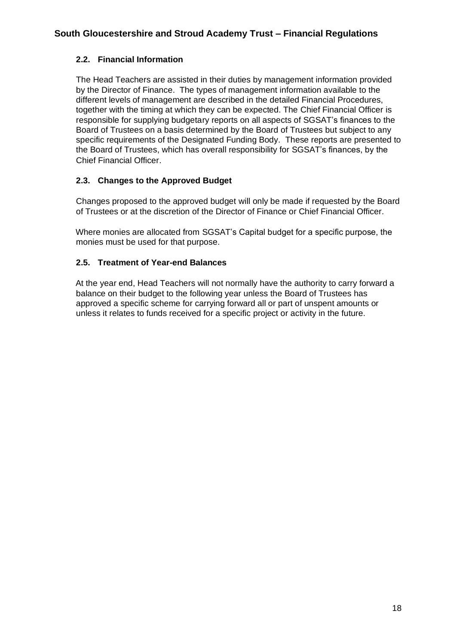# **2.2. Financial Information**

The Head Teachers are assisted in their duties by management information provided by the Director of Finance. The types of management information available to the different levels of management are described in the detailed Financial Procedures, together with the timing at which they can be expected. The Chief Financial Officer is responsible for supplying budgetary reports on all aspects of SGSAT's finances to the Board of Trustees on a basis determined by the Board of Trustees but subject to any specific requirements of the Designated Funding Body. These reports are presented to the Board of Trustees, which has overall responsibility for SGSAT's finances, by the Chief Financial Officer.

# **2.3. Changes to the Approved Budget**

Changes proposed to the approved budget will only be made if requested by the Board of Trustees or at the discretion of the Director of Finance or Chief Financial Officer.

Where monies are allocated from SGSAT's Capital budget for a specific purpose, the monies must be used for that purpose.

# **2.5. Treatment of Year-end Balances**

At the year end, Head Teachers will not normally have the authority to carry forward a balance on their budget to the following year unless the Board of Trustees has approved a specific scheme for carrying forward all or part of unspent amounts or unless it relates to funds received for a specific project or activity in the future.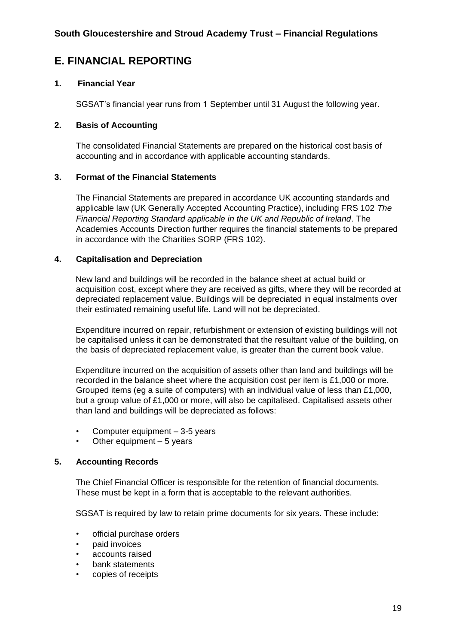# **E. FINANCIAL REPORTING**

### **1. Financial Year**

SGSAT's financial year runs from 1 September until 31 August the following year.

#### **2. Basis of Accounting**

The consolidated Financial Statements are prepared on the historical cost basis of accounting and in accordance with applicable accounting standards.

#### **3. Format of the Financial Statements**

The Financial Statements are prepared in accordance UK accounting standards and applicable law (UK Generally Accepted Accounting Practice), including FRS 102 *The Financial Reporting Standard applicable in the UK and Republic of Ireland*. The Academies Accounts Direction further requires the financial statements to be prepared in accordance with the Charities SORP (FRS 102).

#### **4. Capitalisation and Depreciation**

New land and buildings will be recorded in the balance sheet at actual build or acquisition cost, except where they are received as gifts, where they will be recorded at depreciated replacement value. Buildings will be depreciated in equal instalments over their estimated remaining useful life. Land will not be depreciated.

Expenditure incurred on repair, refurbishment or extension of existing buildings will not be capitalised unless it can be demonstrated that the resultant value of the building, on the basis of depreciated replacement value, is greater than the current book value.

Expenditure incurred on the acquisition of assets other than land and buildings will be recorded in the balance sheet where the acquisition cost per item is £1,000 or more. Grouped items (eg a suite of computers) with an individual value of less than £1,000, but a group value of £1,000 or more, will also be capitalised. Capitalised assets other than land and buildings will be depreciated as follows:

- Computer equipment 3-5 years
- Other equipment  $-5$  years

# **5. Accounting Records**

The Chief Financial Officer is responsible for the retention of financial documents. These must be kept in a form that is acceptable to the relevant authorities.

SGSAT is required by law to retain prime documents for six years. These include:

- official purchase orders
- paid invoices
- accounts raised
- bank statements
- copies of receipts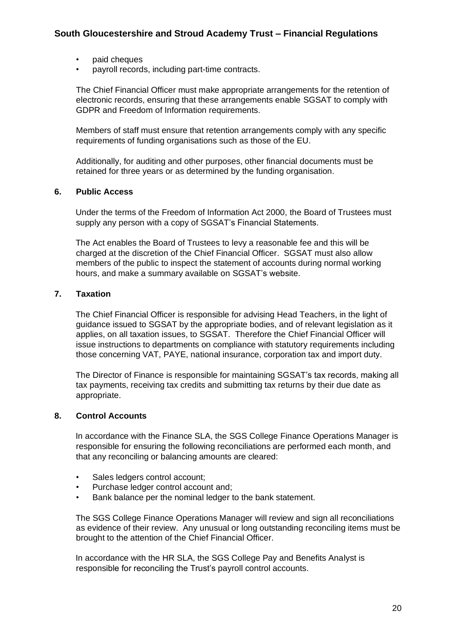- paid cheques
- payroll records, including part-time contracts.

The Chief Financial Officer must make appropriate arrangements for the retention of electronic records, ensuring that these arrangements enable SGSAT to comply with GDPR and Freedom of Information requirements.

Members of staff must ensure that retention arrangements comply with any specific requirements of funding organisations such as those of the EU.

Additionally, for auditing and other purposes, other financial documents must be retained for three years or as determined by the funding organisation.

#### **6. Public Access**

Under the terms of the Freedom of Information Act 2000, the Board of Trustees must supply any person with a copy of SGSAT's Financial Statements.

The Act enables the Board of Trustees to levy a reasonable fee and this will be charged at the discretion of the Chief Financial Officer. SGSAT must also allow members of the public to inspect the statement of accounts during normal working hours, and make a summary available on SGSAT's website.

#### **7. Taxation**

The Chief Financial Officer is responsible for advising Head Teachers, in the light of guidance issued to SGSAT by the appropriate bodies, and of relevant legislation as it applies, on all taxation issues, to SGSAT. Therefore the Chief Financial Officer will issue instructions to departments on compliance with statutory requirements including those concerning VAT, PAYE, national insurance, corporation tax and import duty.

The Director of Finance is responsible for maintaining SGSAT's tax records, making all tax payments, receiving tax credits and submitting tax returns by their due date as appropriate.

#### **8. Control Accounts**

In accordance with the Finance SLA, the SGS College Finance Operations Manager is responsible for ensuring the following reconciliations are performed each month, and that any reconciling or balancing amounts are cleared:

- Sales ledgers control account;
- Purchase ledger control account and;
- Bank balance per the nominal ledger to the bank statement.

The SGS College Finance Operations Manager will review and sign all reconciliations as evidence of their review. Any unusual or long outstanding reconciling items must be brought to the attention of the Chief Financial Officer.

In accordance with the HR SLA, the SGS College Pay and Benefits Analyst is responsible for reconciling the Trust's payroll control accounts.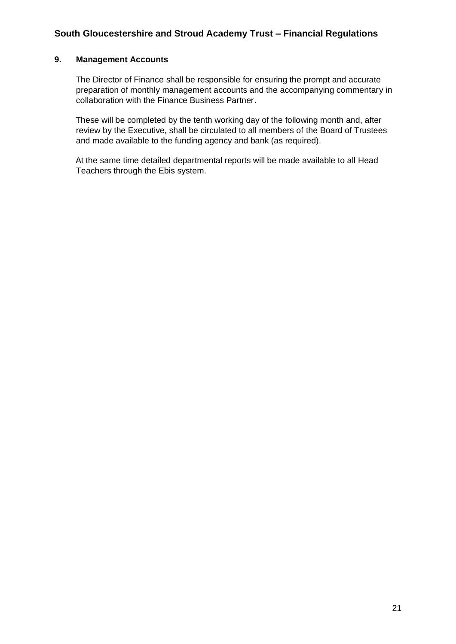### **9. Management Accounts**

The Director of Finance shall be responsible for ensuring the prompt and accurate preparation of monthly management accounts and the accompanying commentary in collaboration with the Finance Business Partner.

These will be completed by the tenth working day of the following month and, after review by the Executive, shall be circulated to all members of the Board of Trustees and made available to the funding agency and bank (as required).

At the same time detailed departmental reports will be made available to all Head Teachers through the Ebis system.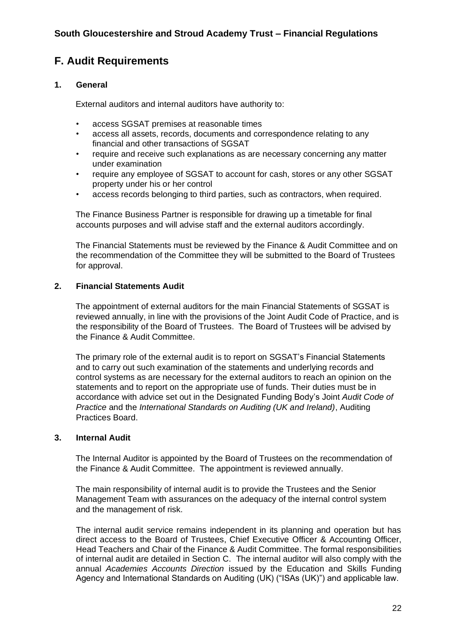# **F. Audit Requirements**

#### **1. General**

External auditors and internal auditors have authority to:

- access SGSAT premises at reasonable times
- access all assets, records, documents and correspondence relating to any financial and other transactions of SGSAT
- require and receive such explanations as are necessary concerning any matter under examination
- require any employee of SGSAT to account for cash, stores or any other SGSAT property under his or her control
- access records belonging to third parties, such as contractors, when required.

The Finance Business Partner is responsible for drawing up a timetable for final accounts purposes and will advise staff and the external auditors accordingly.

The Financial Statements must be reviewed by the Finance & Audit Committee and on the recommendation of the Committee they will be submitted to the Board of Trustees for approval.

#### **2. Financial Statements Audit**

The appointment of external auditors for the main Financial Statements of SGSAT is reviewed annually, in line with the provisions of the Joint Audit Code of Practice, and is the responsibility of the Board of Trustees. The Board of Trustees will be advised by the Finance & Audit Committee.

The primary role of the external audit is to report on SGSAT's Financial Statements and to carry out such examination of the statements and underlying records and control systems as are necessary for the external auditors to reach an opinion on the statements and to report on the appropriate use of funds. Their duties must be in accordance with advice set out in the Designated Funding Body's Joint *Audit Code of Practice* and the *International Standards on Auditing (UK and Ireland)*, Auditing Practices Board.

#### **3. Internal Audit**

The Internal Auditor is appointed by the Board of Trustees on the recommendation of the Finance & Audit Committee. The appointment is reviewed annually.

The main responsibility of internal audit is to provide the Trustees and the Senior Management Team with assurances on the adequacy of the internal control system and the management of risk.

The internal audit service remains independent in its planning and operation but has direct access to the Board of Trustees, Chief Executive Officer & Accounting Officer, Head Teachers and Chair of the Finance & Audit Committee. The formal responsibilities of internal audit are detailed in Section C. The internal auditor will also comply with the annual *Academies Accounts Direction* issued by the Education and Skills Funding Agency and International Standards on Auditing (UK) ("ISAs (UK)") and applicable law.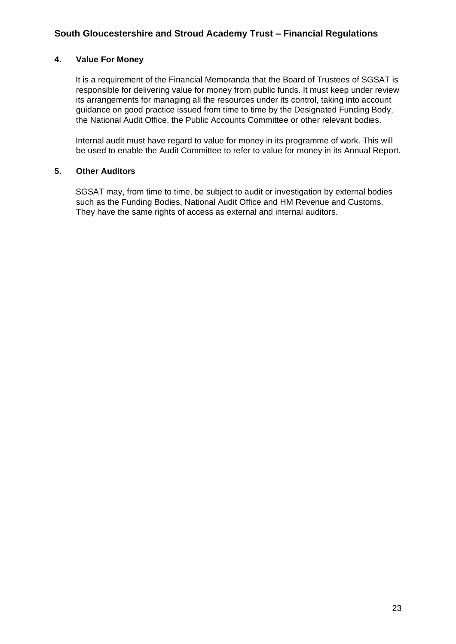#### **4. Value For Money**

It is a requirement of the Financial Memoranda that the Board of Trustees of SGSAT is responsible for delivering value for money from public funds. It must keep under review its arrangements for managing all the resources under its control, taking into account guidance on good practice issued from time to time by the Designated Funding Body, the National Audit Office, the Public Accounts Committee or other relevant bodies.

Internal audit must have regard to value for money in its programme of work. This will be used to enable the Audit Committee to refer to value for money in its Annual Report.

#### **5. Other Auditors**

SGSAT may, from time to time, be subject to audit or investigation by external bodies such as the Funding Bodies, National Audit Office and HM Revenue and Customs. They have the same rights of access as external and internal auditors.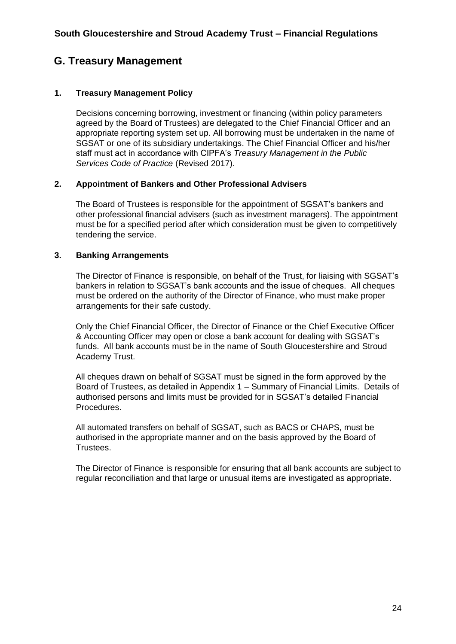# **G. Treasury Management**

# **1. Treasury Management Policy**

Decisions concerning borrowing, investment or financing (within policy parameters agreed by the Board of Trustees) are delegated to the Chief Financial Officer and an appropriate reporting system set up. All borrowing must be undertaken in the name of SGSAT or one of its subsidiary undertakings. The Chief Financial Officer and his/her staff must act in accordance with CIPFA's *Treasury Management in the Public Services Code of Practice* (Revised 2017).

#### **2. Appointment of Bankers and Other Professional Advisers**

The Board of Trustees is responsible for the appointment of SGSAT's bankers and other professional financial advisers (such as investment managers). The appointment must be for a specified period after which consideration must be given to competitively tendering the service.

#### **3. Banking Arrangements**

The Director of Finance is responsible, on behalf of the Trust, for liaising with SGSAT's bankers in relation to SGSAT's bank accounts and the issue of cheques. All cheques must be ordered on the authority of the Director of Finance, who must make proper arrangements for their safe custody.

Only the Chief Financial Officer, the Director of Finance or the Chief Executive Officer & Accounting Officer may open or close a bank account for dealing with SGSAT's funds. All bank accounts must be in the name of South Gloucestershire and Stroud Academy Trust.

All cheques drawn on behalf of SGSAT must be signed in the form approved by the Board of Trustees, as detailed in Appendix 1 – Summary of Financial Limits. Details of authorised persons and limits must be provided for in SGSAT's detailed Financial Procedures.

All automated transfers on behalf of SGSAT, such as BACS or CHAPS, must be authorised in the appropriate manner and on the basis approved by the Board of Trustees.

The Director of Finance is responsible for ensuring that all bank accounts are subject to regular reconciliation and that large or unusual items are investigated as appropriate.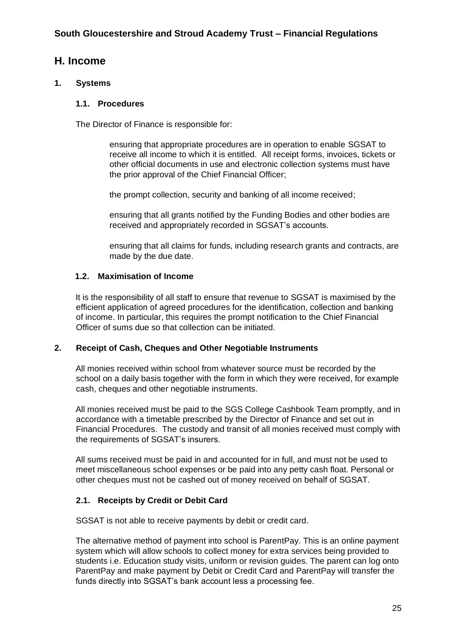# **H. Income**

# **1. Systems**

# **1.1. Procedures**

The Director of Finance is responsible for:

ensuring that appropriate procedures are in operation to enable SGSAT to receive all income to which it is entitled. All receipt forms, invoices, tickets or other official documents in use and electronic collection systems must have the prior approval of the Chief Financial Officer;

the prompt collection, security and banking of all income received;

ensuring that all grants notified by the Funding Bodies and other bodies are received and appropriately recorded in SGSAT's accounts.

ensuring that all claims for funds, including research grants and contracts, are made by the due date.

#### **1.2. Maximisation of Income**

It is the responsibility of all staff to ensure that revenue to SGSAT is maximised by the efficient application of agreed procedures for the identification, collection and banking of income. In particular, this requires the prompt notification to the Chief Financial Officer of sums due so that collection can be initiated.

#### **2. Receipt of Cash, Cheques and Other Negotiable Instruments**

All monies received within school from whatever source must be recorded by the school on a daily basis together with the form in which they were received, for example cash, cheques and other negotiable instruments.

All monies received must be paid to the SGS College Cashbook Team promptly, and in accordance with a timetable prescribed by the Director of Finance and set out in Financial Procedures. The custody and transit of all monies received must comply with the requirements of SGSAT's insurers.

All sums received must be paid in and accounted for in full, and must not be used to meet miscellaneous school expenses or be paid into any petty cash float. Personal or other cheques must not be cashed out of money received on behalf of SGSAT.

# **2.1. Receipts by Credit or Debit Card**

SGSAT is not able to receive payments by debit or credit card.

The alternative method of payment into school is ParentPay. This is an online payment system which will allow schools to collect money for extra services being provided to students i.e. Education study visits, uniform or revision guides. The parent can log onto ParentPay and make payment by Debit or Credit Card and ParentPay will transfer the funds directly into SGSAT's bank account less a processing fee.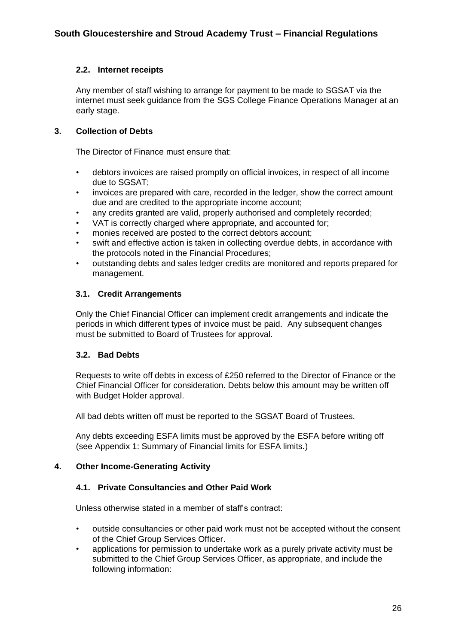# **2.2. Internet receipts**

Any member of staff wishing to arrange for payment to be made to SGSAT via the internet must seek guidance from the SGS College Finance Operations Manager at an early stage.

#### **3. Collection of Debts**

The Director of Finance must ensure that:

- debtors invoices are raised promptly on official invoices, in respect of all income due to SGSAT;
- invoices are prepared with care, recorded in the ledger, show the correct amount due and are credited to the appropriate income account;
- any credits granted are valid, properly authorised and completely recorded;
- VAT is correctly charged where appropriate, and accounted for;
- monies received are posted to the correct debtors account;
- swift and effective action is taken in collecting overdue debts, in accordance with the protocols noted in the Financial Procedures;
- outstanding debts and sales ledger credits are monitored and reports prepared for management.

#### **3.1. Credit Arrangements**

Only the Chief Financial Officer can implement credit arrangements and indicate the periods in which different types of invoice must be paid. Any subsequent changes must be submitted to Board of Trustees for approval.

#### **3.2. Bad Debts**

Requests to write off debts in excess of £250 referred to the Director of Finance or the Chief Financial Officer for consideration. Debts below this amount may be written off with Budget Holder approval.

All bad debts written off must be reported to the SGSAT Board of Trustees.

Any debts exceeding ESFA limits must be approved by the ESFA before writing off (see Appendix 1: Summary of Financial limits for ESFA limits.)

#### **4. Other Income-Generating Activity**

#### **4.1. Private Consultancies and Other Paid Work**

Unless otherwise stated in a member of staff's contract:

- outside consultancies or other paid work must not be accepted without the consent of the Chief Group Services Officer.
- applications for permission to undertake work as a purely private activity must be submitted to the Chief Group Services Officer, as appropriate, and include the following information: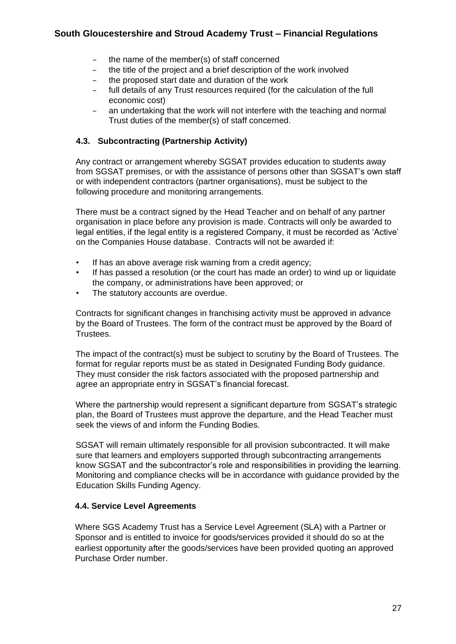- the name of the member(s) of staff concerned
- the title of the project and a brief description of the work involved
- the proposed start date and duration of the work
- full details of any Trust resources required (for the calculation of the full economic cost)
- an undertaking that the work will not interfere with the teaching and normal Trust duties of the member(s) of staff concerned.

### **4.3. Subcontracting (Partnership Activity)**

Any contract or arrangement whereby SGSAT provides education to students away from SGSAT premises, or with the assistance of persons other than SGSAT's own staff or with independent contractors (partner organisations), must be subject to the following procedure and monitoring arrangements.

There must be a contract signed by the Head Teacher and on behalf of any partner organisation in place before any provision is made. Contracts will only be awarded to legal entities, if the legal entity is a registered Company, it must be recorded as 'Active' on the Companies House database. Contracts will not be awarded if:

- If has an above average risk warning from a credit agency;
- If has passed a resolution (or the court has made an order) to wind up or liquidate the company, or administrations have been approved; or
- The statutory accounts are overdue.

Contracts for significant changes in franchising activity must be approved in advance by the Board of Trustees. The form of the contract must be approved by the Board of Trustees.

The impact of the contract(s) must be subject to scrutiny by the Board of Trustees. The format for regular reports must be as stated in Designated Funding Body guidance. They must consider the risk factors associated with the proposed partnership and agree an appropriate entry in SGSAT's financial forecast.

Where the partnership would represent a significant departure from SGSAT's strategic plan, the Board of Trustees must approve the departure, and the Head Teacher must seek the views of and inform the Funding Bodies.

SGSAT will remain ultimately responsible for all provision subcontracted. It will make sure that learners and employers supported through subcontracting arrangements know SGSAT and the subcontractor's role and responsibilities in providing the learning. Monitoring and compliance checks will be in accordance with guidance provided by the Education Skills Funding Agency.

#### **4.4. Service Level Agreements**

Where SGS Academy Trust has a Service Level Agreement (SLA) with a Partner or Sponsor and is entitled to invoice for goods/services provided it should do so at the earliest opportunity after the goods/services have been provided quoting an approved Purchase Order number.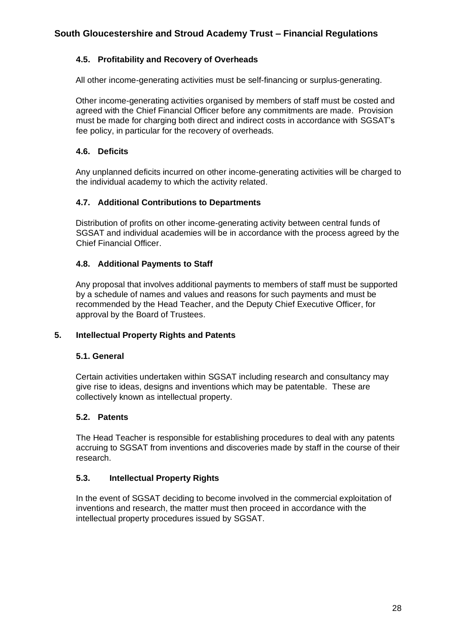# **4.5. Profitability and Recovery of Overheads**

All other income-generating activities must be self-financing or surplus-generating.

Other income-generating activities organised by members of staff must be costed and agreed with the Chief Financial Officer before any commitments are made. Provision must be made for charging both direct and indirect costs in accordance with SGSAT's fee policy, in particular for the recovery of overheads.

# **4.6. Deficits**

Any unplanned deficits incurred on other income-generating activities will be charged to the individual academy to which the activity related.

# **4.7. Additional Contributions to Departments**

Distribution of profits on other income-generating activity between central funds of SGSAT and individual academies will be in accordance with the process agreed by the Chief Financial Officer.

# **4.8. Additional Payments to Staff**

Any proposal that involves additional payments to members of staff must be supported by a schedule of names and values and reasons for such payments and must be recommended by the Head Teacher, and the Deputy Chief Executive Officer, for approval by the Board of Trustees.

#### **5. Intellectual Property Rights and Patents**

#### **5.1. General**

Certain activities undertaken within SGSAT including research and consultancy may give rise to ideas, designs and inventions which may be patentable. These are collectively known as intellectual property.

#### **5.2. Patents**

The Head Teacher is responsible for establishing procedures to deal with any patents accruing to SGSAT from inventions and discoveries made by staff in the course of their research.

# **5.3. Intellectual Property Rights**

In the event of SGSAT deciding to become involved in the commercial exploitation of inventions and research, the matter must then proceed in accordance with the intellectual property procedures issued by SGSAT.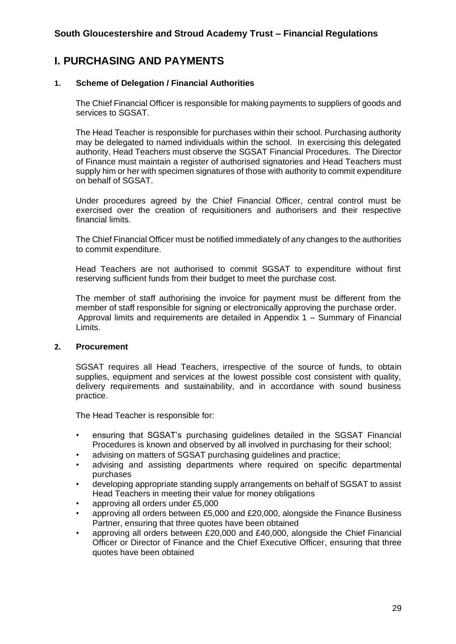# **I. PURCHASING AND PAYMENTS**

### **1. Scheme of Delegation / Financial Authorities**

The Chief Financial Officer is responsible for making payments to suppliers of goods and services to SGSAT.

The Head Teacher is responsible for purchases within their school. Purchasing authority may be delegated to named individuals within the school. In exercising this delegated authority, Head Teachers must observe the SGSAT Financial Procedures. The Director of Finance must maintain a register of authorised signatories and Head Teachers must supply him or her with specimen signatures of those with authority to commit expenditure on behalf of SGSAT.

Under procedures agreed by the Chief Financial Officer, central control must be exercised over the creation of requisitioners and authorisers and their respective financial limits.

The Chief Financial Officer must be notified immediately of any changes to the authorities to commit expenditure.

Head Teachers are not authorised to commit SGSAT to expenditure without first reserving sufficient funds from their budget to meet the purchase cost.

The member of staff authorising the invoice for payment must be different from the member of staff responsible for signing or electronically approving the purchase order. Approval limits and requirements are detailed in Appendix 1 – Summary of Financial Limits.

#### **2. Procurement**

SGSAT requires all Head Teachers, irrespective of the source of funds, to obtain supplies, equipment and services at the lowest possible cost consistent with quality, delivery requirements and sustainability, and in accordance with sound business practice.

The Head Teacher is responsible for:

- ensuring that SGSAT's purchasing guidelines detailed in the SGSAT Financial Procedures is known and observed by all involved in purchasing for their school;
- advising on matters of SGSAT purchasing guidelines and practice;
- advising and assisting departments where required on specific departmental purchases
- developing appropriate standing supply arrangements on behalf of SGSAT to assist Head Teachers in meeting their value for money obligations
- approving all orders under £5,000
- approving all orders between £5,000 and £20,000, alongside the Finance Business Partner, ensuring that three quotes have been obtained
- approving all orders between £20,000 and £40,000, alongside the Chief Financial Officer or Director of Finance and the Chief Executive Officer, ensuring that three quotes have been obtained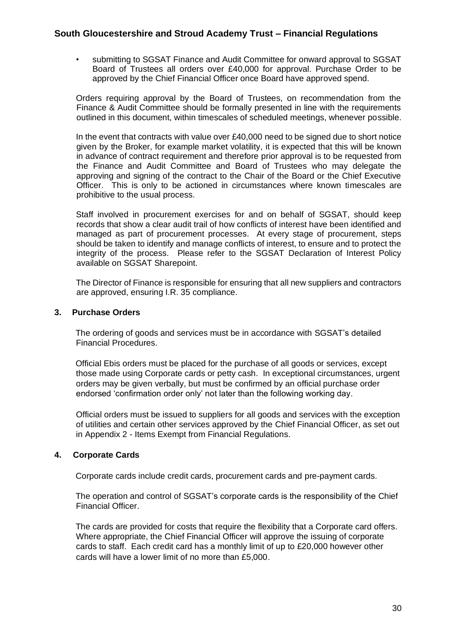• submitting to SGSAT Finance and Audit Committee for onward approval to SGSAT Board of Trustees all orders over £40,000 for approval. Purchase Order to be approved by the Chief Financial Officer once Board have approved spend.

Orders requiring approval by the Board of Trustees, on recommendation from the Finance & Audit Committee should be formally presented in line with the requirements outlined in this document, within timescales of scheduled meetings, whenever possible.

In the event that contracts with value over £40,000 need to be signed due to short notice given by the Broker, for example market volatility, it is expected that this will be known in advance of contract requirement and therefore prior approval is to be requested from the Finance and Audit Committee and Board of Trustees who may delegate the approving and signing of the contract to the Chair of the Board or the Chief Executive Officer. This is only to be actioned in circumstances where known timescales are prohibitive to the usual process.

Staff involved in procurement exercises for and on behalf of SGSAT, should keep records that show a clear audit trail of how conflicts of interest have been identified and managed as part of procurement processes. At every stage of procurement, steps should be taken to identify and manage conflicts of interest, to ensure and to protect the integrity of the process. Please refer to the SGSAT Declaration of Interest Policy available on SGSAT Sharepoint.

The Director of Finance is responsible for ensuring that all new suppliers and contractors are approved, ensuring I.R. 35 compliance.

#### **3. Purchase Orders**

The ordering of goods and services must be in accordance with SGSAT's detailed Financial Procedures.

Official Ebis orders must be placed for the purchase of all goods or services, except those made using Corporate cards or petty cash. In exceptional circumstances, urgent orders may be given verbally, but must be confirmed by an official purchase order endorsed 'confirmation order only' not later than the following working day.

Official orders must be issued to suppliers for all goods and services with the exception of utilities and certain other services approved by the Chief Financial Officer, as set out in Appendix 2 - Items Exempt from Financial Regulations.

#### **4. Corporate Cards**

Corporate cards include credit cards, procurement cards and pre-payment cards.

The operation and control of SGSAT's corporate cards is the responsibility of the Chief Financial Officer.

The cards are provided for costs that require the flexibility that a Corporate card offers. Where appropriate, the Chief Financial Officer will approve the issuing of corporate cards to staff. Each credit card has a monthly limit of up to £20,000 however other cards will have a lower limit of no more than £5,000.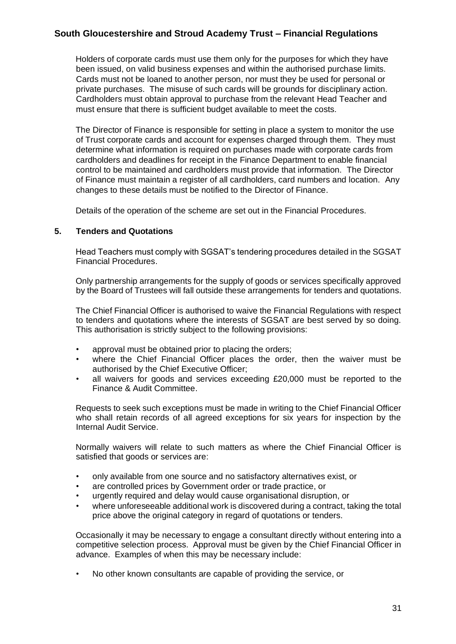Holders of corporate cards must use them only for the purposes for which they have been issued, on valid business expenses and within the authorised purchase limits. Cards must not be loaned to another person, nor must they be used for personal or private purchases. The misuse of such cards will be grounds for disciplinary action. Cardholders must obtain approval to purchase from the relevant Head Teacher and must ensure that there is sufficient budget available to meet the costs.

The Director of Finance is responsible for setting in place a system to monitor the use of Trust corporate cards and account for expenses charged through them. They must determine what information is required on purchases made with corporate cards from cardholders and deadlines for receipt in the Finance Department to enable financial control to be maintained and cardholders must provide that information. The Director of Finance must maintain a register of all cardholders, card numbers and location. Any changes to these details must be notified to the Director of Finance.

Details of the operation of the scheme are set out in the Financial Procedures.

#### **5. Tenders and Quotations**

Head Teachers must comply with SGSAT's tendering procedures detailed in the SGSAT Financial Procedures.

Only partnership arrangements for the supply of goods or services specifically approved by the Board of Trustees will fall outside these arrangements for tenders and quotations.

The Chief Financial Officer is authorised to waive the Financial Regulations with respect to tenders and quotations where the interests of SGSAT are best served by so doing. This authorisation is strictly subject to the following provisions:

- approval must be obtained prior to placing the orders;
- where the Chief Financial Officer places the order, then the waiver must be authorised by the Chief Executive Officer;
- all waivers for goods and services exceeding £20,000 must be reported to the Finance & Audit Committee.

Requests to seek such exceptions must be made in writing to the Chief Financial Officer who shall retain records of all agreed exceptions for six years for inspection by the Internal Audit Service.

Normally waivers will relate to such matters as where the Chief Financial Officer is satisfied that goods or services are:

- only available from one source and no satisfactory alternatives exist, or
- are controlled prices by Government order or trade practice, or
- urgently required and delay would cause organisational disruption, or
- where unforeseeable additional work is discovered during a contract, taking the total price above the original category in regard of quotations or tenders.

Occasionally it may be necessary to engage a consultant directly without entering into a competitive selection process. Approval must be given by the Chief Financial Officer in advance. Examples of when this may be necessary include:

• No other known consultants are capable of providing the service, or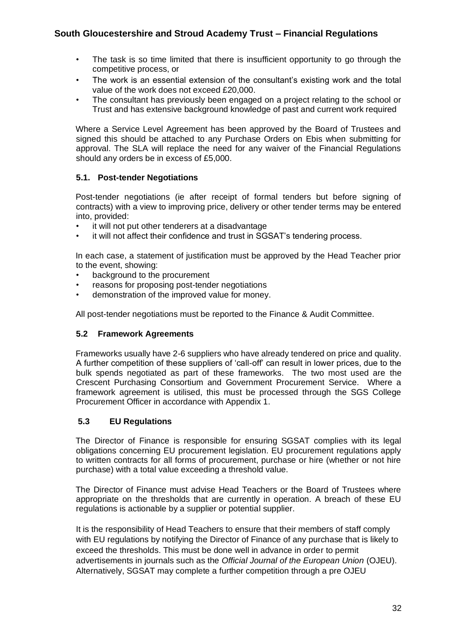- The task is so time limited that there is insufficient opportunity to go through the competitive process, or
- The work is an essential extension of the consultant's existing work and the total value of the work does not exceed £20,000.
- The consultant has previously been engaged on a project relating to the school or Trust and has extensive background knowledge of past and current work required

Where a Service Level Agreement has been approved by the Board of Trustees and signed this should be attached to any Purchase Orders on Ebis when submitting for approval. The SLA will replace the need for any waiver of the Financial Regulations should any orders be in excess of £5,000.

#### **5.1. Post-tender Negotiations**

Post-tender negotiations (ie after receipt of formal tenders but before signing of contracts) with a view to improving price, delivery or other tender terms may be entered into, provided:

- it will not put other tenderers at a disadvantage
- it will not affect their confidence and trust in SGSAT's tendering process.

In each case, a statement of justification must be approved by the Head Teacher prior to the event, showing:

- background to the procurement
- reasons for proposing post-tender negotiations
- demonstration of the improved value for money.

All post-tender negotiations must be reported to the Finance & Audit Committee.

#### **5.2 Framework Agreements**

Frameworks usually have 2-6 suppliers who have already tendered on price and quality. A further competition of these suppliers of 'call-off' can result in lower prices, due to the bulk spends negotiated as part of these frameworks. The two most used are the Crescent Purchasing Consortium and Government Procurement Service. Where a framework agreement is utilised, this must be processed through the SGS College Procurement Officer in accordance with Appendix 1.

#### **5.3 EU Regulations**

The Director of Finance is responsible for ensuring SGSAT complies with its legal obligations concerning EU procurement legislation. EU procurement regulations apply to written contracts for all forms of procurement, purchase or hire (whether or not hire purchase) with a total value exceeding a threshold value.

The Director of Finance must advise Head Teachers or the Board of Trustees where appropriate on the thresholds that are currently in operation. A breach of these EU regulations is actionable by a supplier or potential supplier.

It is the responsibility of Head Teachers to ensure that their members of staff comply with EU regulations by notifying the Director of Finance of any purchase that is likely to exceed the thresholds. This must be done well in advance in order to permit advertisements in journals such as the *Official Journal of the European Union* (OJEU). Alternatively, SGSAT may complete a further competition through a pre OJEU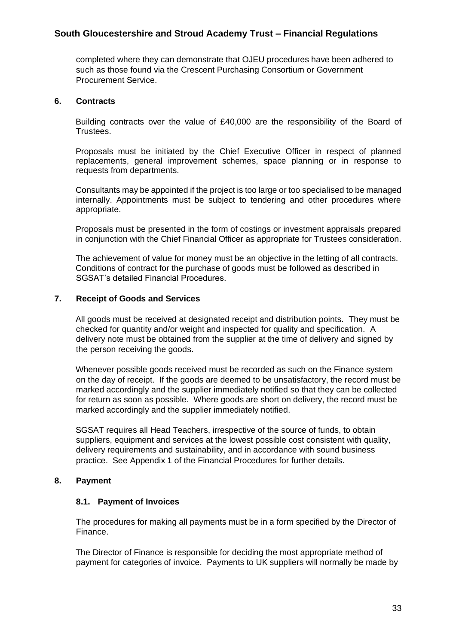completed where they can demonstrate that OJEU procedures have been adhered to such as those found via the Crescent Purchasing Consortium or Government Procurement Service.

#### **6. Contracts**

Building contracts over the value of £40,000 are the responsibility of the Board of Trustees.

Proposals must be initiated by the Chief Executive Officer in respect of planned replacements, general improvement schemes, space planning or in response to requests from departments.

Consultants may be appointed if the project is too large or too specialised to be managed internally. Appointments must be subject to tendering and other procedures where appropriate.

Proposals must be presented in the form of costings or investment appraisals prepared in conjunction with the Chief Financial Officer as appropriate for Trustees consideration.

The achievement of value for money must be an objective in the letting of all contracts. Conditions of contract for the purchase of goods must be followed as described in SGSAT's detailed Financial Procedures.

#### **7. Receipt of Goods and Services**

All goods must be received at designated receipt and distribution points. They must be checked for quantity and/or weight and inspected for quality and specification. A delivery note must be obtained from the supplier at the time of delivery and signed by the person receiving the goods.

Whenever possible goods received must be recorded as such on the Finance system on the day of receipt. If the goods are deemed to be unsatisfactory, the record must be marked accordingly and the supplier immediately notified so that they can be collected for return as soon as possible. Where goods are short on delivery, the record must be marked accordingly and the supplier immediately notified.

SGSAT requires all Head Teachers, irrespective of the source of funds, to obtain suppliers, equipment and services at the lowest possible cost consistent with quality, delivery requirements and sustainability, and in accordance with sound business practice. See Appendix 1 of the Financial Procedures for further details.

#### **8. Payment**

#### **8.1. Payment of Invoices**

The procedures for making all payments must be in a form specified by the Director of Finance.

The Director of Finance is responsible for deciding the most appropriate method of payment for categories of invoice. Payments to UK suppliers will normally be made by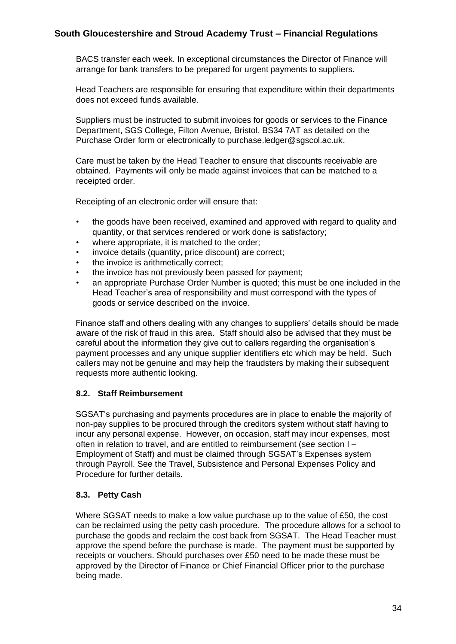BACS transfer each week. In exceptional circumstances the Director of Finance will arrange for bank transfers to be prepared for urgent payments to suppliers.

Head Teachers are responsible for ensuring that expenditure within their departments does not exceed funds available.

Suppliers must be instructed to submit invoices for goods or services to the Finance Department, SGS College, Filton Avenue, Bristol, BS34 7AT as detailed on the Purchase Order form or electronically to purchase.ledger@sgscol.ac.uk.

Care must be taken by the Head Teacher to ensure that discounts receivable are obtained. Payments will only be made against invoices that can be matched to a receipted order.

Receipting of an electronic order will ensure that:

- the goods have been received, examined and approved with regard to quality and quantity, or that services rendered or work done is satisfactory;
- where appropriate, it is matched to the order:
- invoice details (quantity, price discount) are correct;
- the invoice is arithmetically correct;
- the invoice has not previously been passed for payment:
- an appropriate Purchase Order Number is quoted; this must be one included in the Head Teacher's area of responsibility and must correspond with the types of goods or service described on the invoice.

Finance staff and others dealing with any changes to suppliers' details should be made aware of the risk of fraud in this area. Staff should also be advised that they must be careful about the information they give out to callers regarding the organisation's payment processes and any unique supplier identifiers etc which may be held. Such callers may not be genuine and may help the fraudsters by making their subsequent requests more authentic looking.

#### **8.2. Staff Reimbursement**

SGSAT's purchasing and payments procedures are in place to enable the majority of non-pay supplies to be procured through the creditors system without staff having to incur any personal expense. However, on occasion, staff may incur expenses, most often in relation to travel, and are entitled to reimbursement (see section I – Employment of Staff) and must be claimed through SGSAT's Expenses system through Payroll. See the Travel, Subsistence and Personal Expenses Policy and Procedure for further details.

# **8.3. Petty Cash**

Where SGSAT needs to make a low value purchase up to the value of £50, the cost can be reclaimed using the petty cash procedure. The procedure allows for a school to purchase the goods and reclaim the cost back from SGSAT. The Head Teacher must approve the spend before the purchase is made. The payment must be supported by receipts or vouchers. Should purchases over £50 need to be made these must be approved by the Director of Finance or Chief Financial Officer prior to the purchase being made.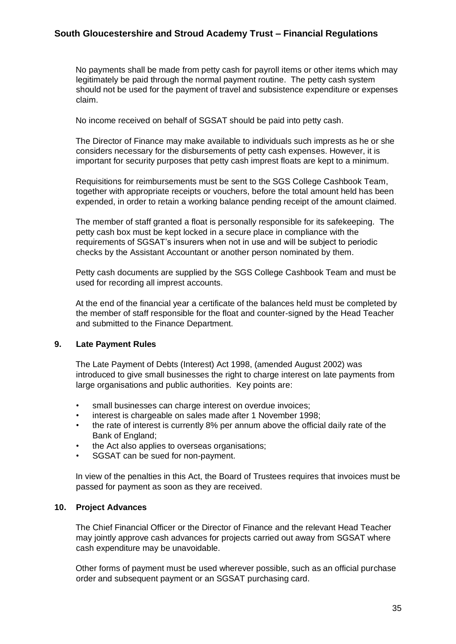No payments shall be made from petty cash for payroll items or other items which may legitimately be paid through the normal payment routine. The petty cash system should not be used for the payment of travel and subsistence expenditure or expenses claim.

No income received on behalf of SGSAT should be paid into petty cash.

The Director of Finance may make available to individuals such imprests as he or she considers necessary for the disbursements of petty cash expenses. However, it is important for security purposes that petty cash imprest floats are kept to a minimum.

Requisitions for reimbursements must be sent to the SGS College Cashbook Team, together with appropriate receipts or vouchers, before the total amount held has been expended, in order to retain a working balance pending receipt of the amount claimed.

The member of staff granted a float is personally responsible for its safekeeping. The petty cash box must be kept locked in a secure place in compliance with the requirements of SGSAT's insurers when not in use and will be subject to periodic checks by the Assistant Accountant or another person nominated by them.

Petty cash documents are supplied by the SGS College Cashbook Team and must be used for recording all imprest accounts.

At the end of the financial year a certificate of the balances held must be completed by the member of staff responsible for the float and counter-signed by the Head Teacher and submitted to the Finance Department.

#### **9. Late Payment Rules**

The Late Payment of Debts (Interest) Act 1998, (amended August 2002) was introduced to give small businesses the right to charge interest on late payments from large organisations and public authorities. Key points are:

- small businesses can charge interest on overdue invoices;
- interest is chargeable on sales made after 1 November 1998;
- the rate of interest is currently 8% per annum above the official daily rate of the Bank of England;
- the Act also applies to overseas organisations;
- SGSAT can be sued for non-payment.

In view of the penalties in this Act, the Board of Trustees requires that invoices must be passed for payment as soon as they are received.

#### **10. Project Advances**

The Chief Financial Officer or the Director of Finance and the relevant Head Teacher may jointly approve cash advances for projects carried out away from SGSAT where cash expenditure may be unavoidable.

Other forms of payment must be used wherever possible, such as an official purchase order and subsequent payment or an SGSAT purchasing card.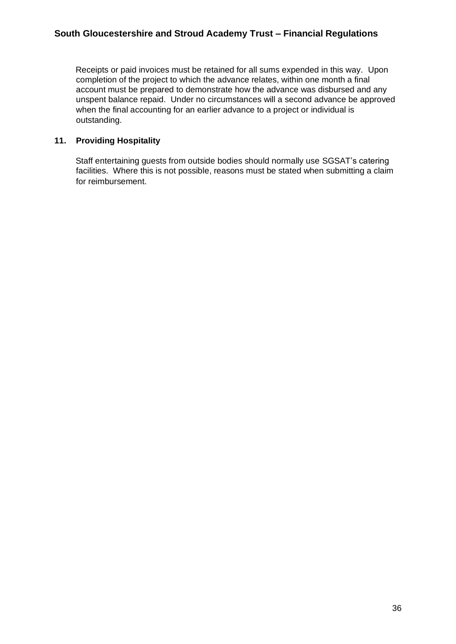Receipts or paid invoices must be retained for all sums expended in this way. Upon completion of the project to which the advance relates, within one month a final account must be prepared to demonstrate how the advance was disbursed and any unspent balance repaid. Under no circumstances will a second advance be approved when the final accounting for an earlier advance to a project or individual is outstanding.

# **11. Providing Hospitality**

Staff entertaining guests from outside bodies should normally use SGSAT's catering facilities. Where this is not possible, reasons must be stated when submitting a claim for reimbursement.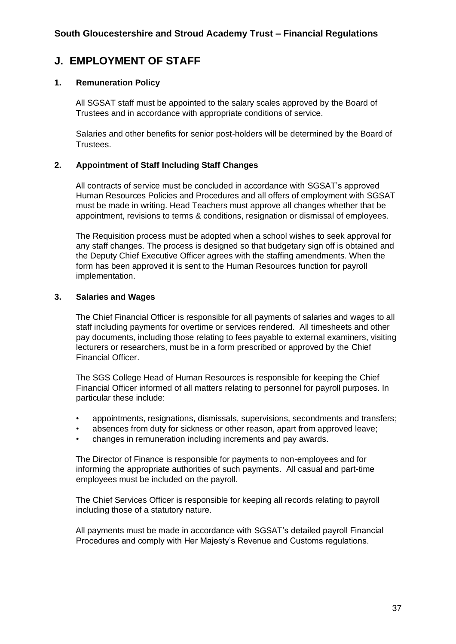# **J. EMPLOYMENT OF STAFF**

### **1. Remuneration Policy**

All SGSAT staff must be appointed to the salary scales approved by the Board of Trustees and in accordance with appropriate conditions of service.

Salaries and other benefits for senior post-holders will be determined by the Board of Trustees.

#### **2. Appointment of Staff Including Staff Changes**

All contracts of service must be concluded in accordance with SGSAT's approved Human Resources Policies and Procedures and all offers of employment with SGSAT must be made in writing. Head Teachers must approve all changes whether that be appointment, revisions to terms & conditions, resignation or dismissal of employees.

The Requisition process must be adopted when a school wishes to seek approval for any staff changes. The process is designed so that budgetary sign off is obtained and the Deputy Chief Executive Officer agrees with the staffing amendments. When the form has been approved it is sent to the Human Resources function for payroll implementation.

#### **3. Salaries and Wages**

The Chief Financial Officer is responsible for all payments of salaries and wages to all staff including payments for overtime or services rendered. All timesheets and other pay documents, including those relating to fees payable to external examiners, visiting lecturers or researchers, must be in a form prescribed or approved by the Chief Financial Officer.

The SGS College Head of Human Resources is responsible for keeping the Chief Financial Officer informed of all matters relating to personnel for payroll purposes. In particular these include:

- appointments, resignations, dismissals, supervisions, secondments and transfers;
- absences from duty for sickness or other reason, apart from approved leave;
- changes in remuneration including increments and pay awards.

The Director of Finance is responsible for payments to non-employees and for informing the appropriate authorities of such payments. All casual and part-time employees must be included on the payroll.

The Chief Services Officer is responsible for keeping all records relating to payroll including those of a statutory nature.

All payments must be made in accordance with SGSAT's detailed payroll Financial Procedures and comply with Her Majesty's Revenue and Customs regulations.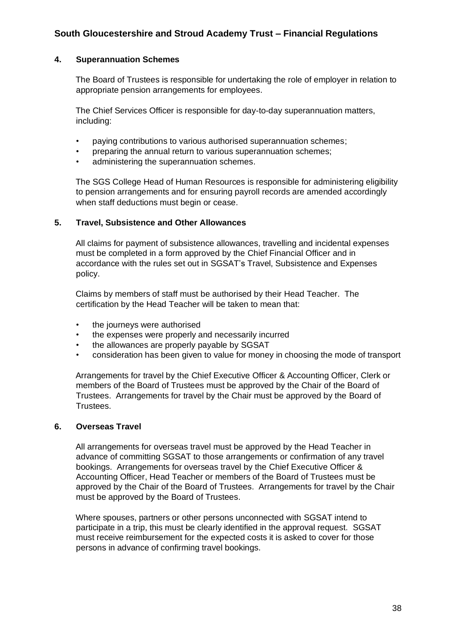#### **4. Superannuation Schemes**

The Board of Trustees is responsible for undertaking the role of employer in relation to appropriate pension arrangements for employees.

The Chief Services Officer is responsible for day-to-day superannuation matters, including:

- paying contributions to various authorised superannuation schemes;
- preparing the annual return to various superannuation schemes;
- administering the superannuation schemes.

The SGS College Head of Human Resources is responsible for administering eligibility to pension arrangements and for ensuring payroll records are amended accordingly when staff deductions must begin or cease.

#### **5. Travel, Subsistence and Other Allowances**

All claims for payment of subsistence allowances, travelling and incidental expenses must be completed in a form approved by the Chief Financial Officer and in accordance with the rules set out in SGSAT's Travel, Subsistence and Expenses policy.

Claims by members of staff must be authorised by their Head Teacher. The certification by the Head Teacher will be taken to mean that:

- the journeys were authorised
- the expenses were properly and necessarily incurred
- the allowances are properly payable by SGSAT
- consideration has been given to value for money in choosing the mode of transport

Arrangements for travel by the Chief Executive Officer & Accounting Officer, Clerk or members of the Board of Trustees must be approved by the Chair of the Board of Trustees. Arrangements for travel by the Chair must be approved by the Board of Trustees.

#### **6. Overseas Travel**

All arrangements for overseas travel must be approved by the Head Teacher in advance of committing SGSAT to those arrangements or confirmation of any travel bookings. Arrangements for overseas travel by the Chief Executive Officer & Accounting Officer, Head Teacher or members of the Board of Trustees must be approved by the Chair of the Board of Trustees. Arrangements for travel by the Chair must be approved by the Board of Trustees.

Where spouses, partners or other persons unconnected with SGSAT intend to participate in a trip, this must be clearly identified in the approval request. SGSAT must receive reimbursement for the expected costs it is asked to cover for those persons in advance of confirming travel bookings.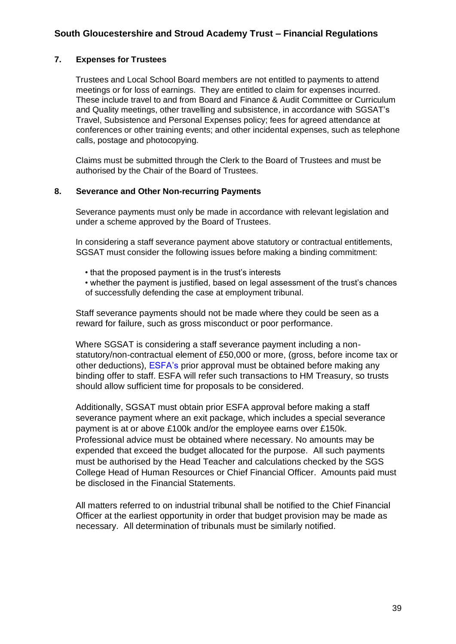#### **7. Expenses for Trustees**

Trustees and Local School Board members are not entitled to payments to attend meetings or for loss of earnings. They are entitled to claim for expenses incurred. These include travel to and from Board and Finance & Audit Committee or Curriculum and Quality meetings, other travelling and subsistence, in accordance with SGSAT's Travel, Subsistence and Personal Expenses policy; fees for agreed attendance at conferences or other training events; and other incidental expenses, such as telephone calls, postage and photocopying.

Claims must be submitted through the Clerk to the Board of Trustees and must be authorised by the Chair of the Board of Trustees.

#### **8. Severance and Other Non-recurring Payments**

Severance payments must only be made in accordance with relevant legislation and under a scheme approved by the Board of Trustees.

In considering a staff severance payment above statutory or contractual entitlements, SGSAT must consider the following issues before making a binding commitment:

- that the proposed payment is in the trust's interests
- whether the payment is justified, based on legal assessment of the trust's chances of successfully defending the case at employment tribunal.

Staff severance payments should not be made where they could be seen as a reward for failure, such as gross misconduct or poor performance.

Where SGSAT is considering a staff severance payment including a nonstatutory/non-contractual element of £50,000 or more, (gross, before income tax or other deductions), ESFA's prior approval must be obtained before making any binding offer to staff. ESFA will refer such transactions to HM Treasury, so trusts should allow sufficient time for proposals to be considered.

Additionally, SGSAT must obtain prior ESFA approval before making a staff severance payment where an exit package, which includes a special severance payment is at or above £100k and/or the employee earns over £150k. Professional advice must be obtained where necessary. No amounts may be expended that exceed the budget allocated for the purpose. All such payments must be authorised by the Head Teacher and calculations checked by the SGS College Head of Human Resources or Chief Financial Officer. Amounts paid must be disclosed in the Financial Statements.

All matters referred to on industrial tribunal shall be notified to the Chief Financial Officer at the earliest opportunity in order that budget provision may be made as necessary. All determination of tribunals must be similarly notified.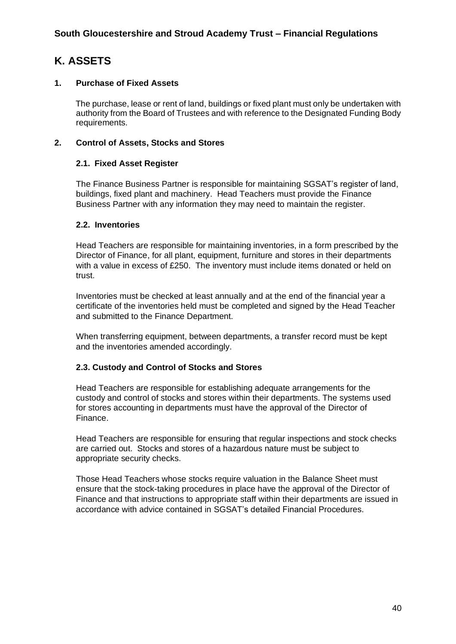# **K. ASSETS**

### **1. Purchase of Fixed Assets**

The purchase, lease or rent of land, buildings or fixed plant must only be undertaken with authority from the Board of Trustees and with reference to the Designated Funding Body requirements.

### **2. Control of Assets, Stocks and Stores**

#### **2.1. Fixed Asset Register**

The Finance Business Partner is responsible for maintaining SGSAT's register of land, buildings, fixed plant and machinery. Head Teachers must provide the Finance Business Partner with any information they may need to maintain the register.

#### **2.2. Inventories**

Head Teachers are responsible for maintaining inventories, in a form prescribed by the Director of Finance, for all plant, equipment, furniture and stores in their departments with a value in excess of £250. The inventory must include items donated or held on trust.

Inventories must be checked at least annually and at the end of the financial year a certificate of the inventories held must be completed and signed by the Head Teacher and submitted to the Finance Department.

When transferring equipment, between departments, a transfer record must be kept and the inventories amended accordingly.

# **2.3. Custody and Control of Stocks and Stores**

Head Teachers are responsible for establishing adequate arrangements for the custody and control of stocks and stores within their departments. The systems used for stores accounting in departments must have the approval of the Director of Finance.

Head Teachers are responsible for ensuring that regular inspections and stock checks are carried out. Stocks and stores of a hazardous nature must be subject to appropriate security checks.

Those Head Teachers whose stocks require valuation in the Balance Sheet must ensure that the stock-taking procedures in place have the approval of the Director of Finance and that instructions to appropriate staff within their departments are issued in accordance with advice contained in SGSAT's detailed Financial Procedures.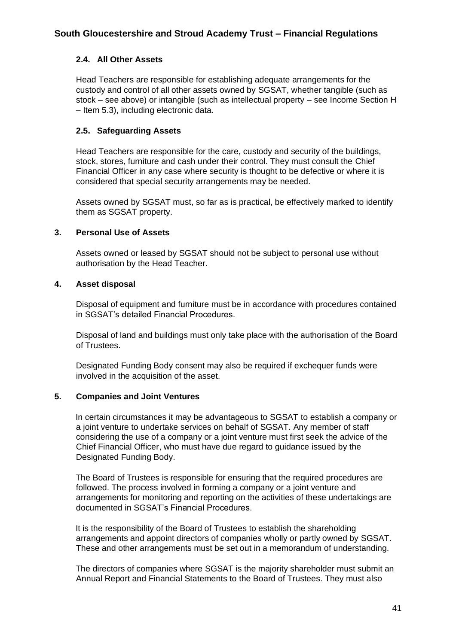# **2.4. All Other Assets**

Head Teachers are responsible for establishing adequate arrangements for the custody and control of all other assets owned by SGSAT, whether tangible (such as stock – see above) or intangible (such as intellectual property – see Income Section H – Item 5.3), including electronic data.

#### **2.5. Safeguarding Assets**

Head Teachers are responsible for the care, custody and security of the buildings, stock, stores, furniture and cash under their control. They must consult the Chief Financial Officer in any case where security is thought to be defective or where it is considered that special security arrangements may be needed.

Assets owned by SGSAT must, so far as is practical, be effectively marked to identify them as SGSAT property.

#### **3. Personal Use of Assets**

Assets owned or leased by SGSAT should not be subject to personal use without authorisation by the Head Teacher.

#### **4. Asset disposal**

Disposal of equipment and furniture must be in accordance with procedures contained in SGSAT's detailed Financial Procedures.

Disposal of land and buildings must only take place with the authorisation of the Board of Trustees.

Designated Funding Body consent may also be required if exchequer funds were involved in the acquisition of the asset.

#### **5. Companies and Joint Ventures**

In certain circumstances it may be advantageous to SGSAT to establish a company or a joint venture to undertake services on behalf of SGSAT. Any member of staff considering the use of a company or a joint venture must first seek the advice of the Chief Financial Officer, who must have due regard to guidance issued by the Designated Funding Body.

The Board of Trustees is responsible for ensuring that the required procedures are followed. The process involved in forming a company or a joint venture and arrangements for monitoring and reporting on the activities of these undertakings are documented in SGSAT's Financial Procedures.

It is the responsibility of the Board of Trustees to establish the shareholding arrangements and appoint directors of companies wholly or partly owned by SGSAT. These and other arrangements must be set out in a memorandum of understanding.

The directors of companies where SGSAT is the majority shareholder must submit an Annual Report and Financial Statements to the Board of Trustees. They must also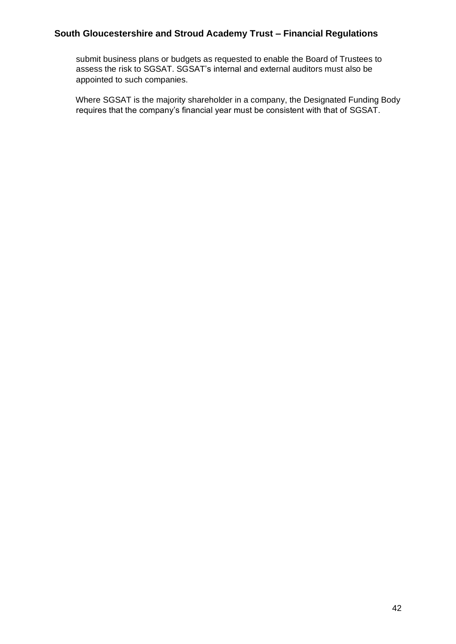submit business plans or budgets as requested to enable the Board of Trustees to assess the risk to SGSAT. SGSAT's internal and external auditors must also be appointed to such companies.

Where SGSAT is the majority shareholder in a company, the Designated Funding Body requires that the company's financial year must be consistent with that of SGSAT.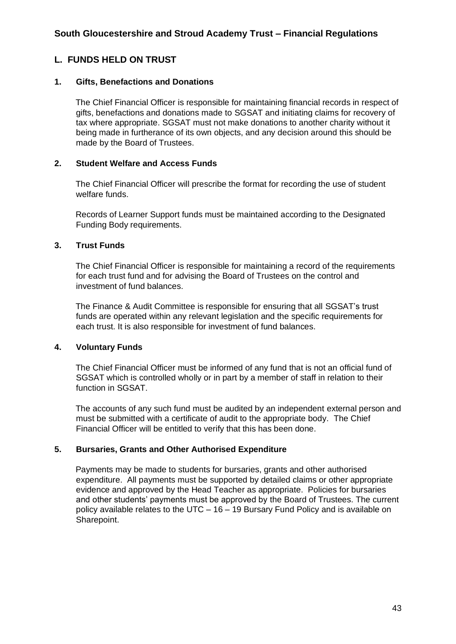# **L. FUNDS HELD ON TRUST**

#### **1. Gifts, Benefactions and Donations**

The Chief Financial Officer is responsible for maintaining financial records in respect of gifts, benefactions and donations made to SGSAT and initiating claims for recovery of tax where appropriate. SGSAT must not make donations to another charity without it being made in furtherance of its own objects, and any decision around this should be made by the Board of Trustees.

#### **2. Student Welfare and Access Funds**

The Chief Financial Officer will prescribe the format for recording the use of student welfare funds.

Records of Learner Support funds must be maintained according to the Designated Funding Body requirements.

#### **3. Trust Funds**

The Chief Financial Officer is responsible for maintaining a record of the requirements for each trust fund and for advising the Board of Trustees on the control and investment of fund balances.

The Finance & Audit Committee is responsible for ensuring that all SGSAT's trust funds are operated within any relevant legislation and the specific requirements for each trust. It is also responsible for investment of fund balances.

# **4. Voluntary Funds**

The Chief Financial Officer must be informed of any fund that is not an official fund of SGSAT which is controlled wholly or in part by a member of staff in relation to their function in SGSAT.

The accounts of any such fund must be audited by an independent external person and must be submitted with a certificate of audit to the appropriate body. The Chief Financial Officer will be entitled to verify that this has been done.

# **5. Bursaries, Grants and Other Authorised Expenditure**

Payments may be made to students for bursaries, grants and other authorised expenditure. All payments must be supported by detailed claims or other appropriate evidence and approved by the Head Teacher as appropriate. Policies for bursaries and other students' payments must be approved by the Board of Trustees. The current policy available relates to the UTC – 16 – 19 Bursary Fund Policy and is available on Sharepoint.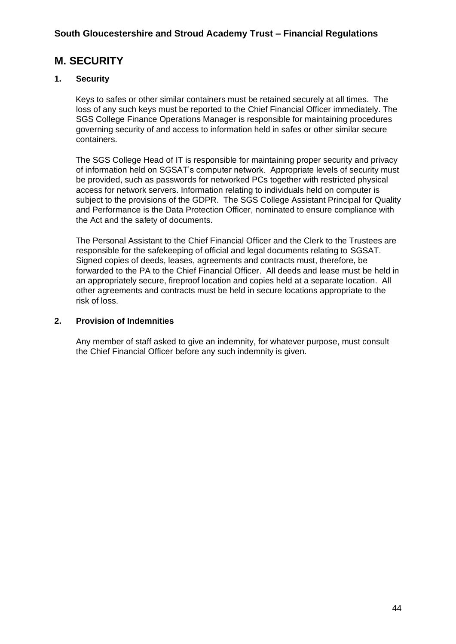# **M. SECURITY**

# **1. Security**

Keys to safes or other similar containers must be retained securely at all times. The loss of any such keys must be reported to the Chief Financial Officer immediately. The SGS College Finance Operations Manager is responsible for maintaining procedures governing security of and access to information held in safes or other similar secure containers.

The SGS College Head of IT is responsible for maintaining proper security and privacy of information held on SGSAT's computer network. Appropriate levels of security must be provided, such as passwords for networked PCs together with restricted physical access for network servers. Information relating to individuals held on computer is subject to the provisions of the GDPR. The SGS College Assistant Principal for Quality and Performance is the Data Protection Officer, nominated to ensure compliance with the Act and the safety of documents.

The Personal Assistant to the Chief Financial Officer and the Clerk to the Trustees are responsible for the safekeeping of official and legal documents relating to SGSAT. Signed copies of deeds, leases, agreements and contracts must, therefore, be forwarded to the PA to the Chief Financial Officer. All deeds and lease must be held in an appropriately secure, fireproof location and copies held at a separate location. All other agreements and contracts must be held in secure locations appropriate to the risk of loss.

### **2. Provision of Indemnities**

Any member of staff asked to give an indemnity, for whatever purpose, must consult the Chief Financial Officer before any such indemnity is given.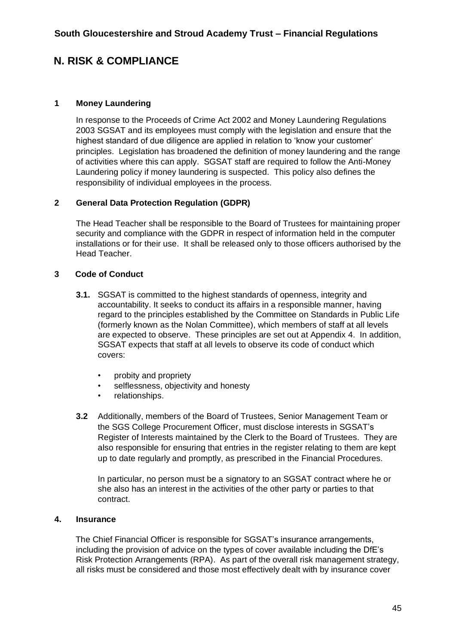# **N. RISK & COMPLIANCE**

#### **1 Money Laundering**

In response to the Proceeds of Crime Act 2002 and Money Laundering Regulations 2003 SGSAT and its employees must comply with the legislation and ensure that the highest standard of due diligence are applied in relation to 'know your customer' principles. Legislation has broadened the definition of money laundering and the range of activities where this can apply. SGSAT staff are required to follow the Anti-Money Laundering policy if money laundering is suspected. This policy also defines the responsibility of individual employees in the process.

# **2 General Data Protection Regulation (GDPR)**

The Head Teacher shall be responsible to the Board of Trustees for maintaining proper security and compliance with the GDPR in respect of information held in the computer installations or for their use. It shall be released only to those officers authorised by the Head Teacher.

#### **3 Code of Conduct**

- **3.1.** SGSAT is committed to the highest standards of openness, integrity and accountability. It seeks to conduct its affairs in a responsible manner, having regard to the principles established by the Committee on Standards in Public Life (formerly known as the Nolan Committee), which members of staff at all levels are expected to observe. These principles are set out at Appendix 4. In addition, SGSAT expects that staff at all levels to observe its code of conduct which covers:
	- probity and propriety
	- selflessness, objectivity and honesty
	- relationships.
- **3.2** Additionally, members of the Board of Trustees, Senior Management Team or the SGS College Procurement Officer, must disclose interests in SGSAT's Register of Interests maintained by the Clerk to the Board of Trustees. They are also responsible for ensuring that entries in the register relating to them are kept up to date regularly and promptly, as prescribed in the Financial Procedures.

In particular, no person must be a signatory to an SGSAT contract where he or she also has an interest in the activities of the other party or parties to that contract.

#### **4. Insurance**

The Chief Financial Officer is responsible for SGSAT's insurance arrangements, including the provision of advice on the types of cover available including the DfE's Risk Protection Arrangements (RPA). As part of the overall risk management strategy, all risks must be considered and those most effectively dealt with by insurance cover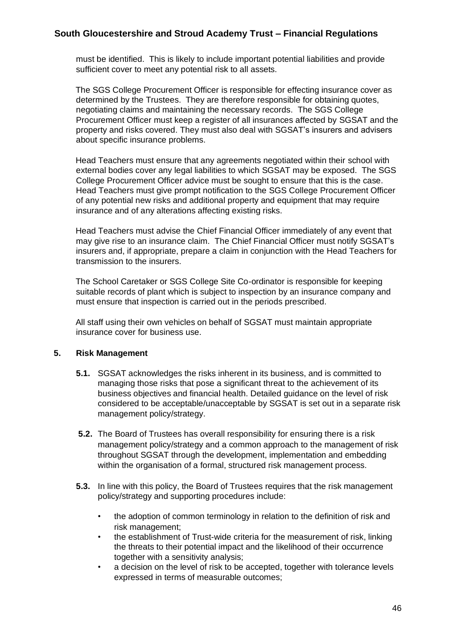must be identified. This is likely to include important potential liabilities and provide sufficient cover to meet any potential risk to all assets.

The SGS College Procurement Officer is responsible for effecting insurance cover as determined by the Trustees. They are therefore responsible for obtaining quotes, negotiating claims and maintaining the necessary records. The SGS College Procurement Officer must keep a register of all insurances affected by SGSAT and the property and risks covered. They must also deal with SGSAT's insurers and advisers about specific insurance problems.

Head Teachers must ensure that any agreements negotiated within their school with external bodies cover any legal liabilities to which SGSAT may be exposed. The SGS College Procurement Officer advice must be sought to ensure that this is the case. Head Teachers must give prompt notification to the SGS College Procurement Officer of any potential new risks and additional property and equipment that may require insurance and of any alterations affecting existing risks.

Head Teachers must advise the Chief Financial Officer immediately of any event that may give rise to an insurance claim. The Chief Financial Officer must notify SGSAT's insurers and, if appropriate, prepare a claim in conjunction with the Head Teachers for transmission to the insurers.

The School Caretaker or SGS College Site Co-ordinator is responsible for keeping suitable records of plant which is subject to inspection by an insurance company and must ensure that inspection is carried out in the periods prescribed.

All staff using their own vehicles on behalf of SGSAT must maintain appropriate insurance cover for business use.

#### **5. Risk Management**

- **5.1.** SGSAT acknowledges the risks inherent in its business, and is committed to managing those risks that pose a significant threat to the achievement of its business objectives and financial health. Detailed guidance on the level of risk considered to be acceptable/unacceptable by SGSAT is set out in a separate risk management policy/strategy.
- **5.2.** The Board of Trustees has overall responsibility for ensuring there is a risk management policy/strategy and a common approach to the management of risk throughout SGSAT through the development, implementation and embedding within the organisation of a formal, structured risk management process.
- **5.3.** In line with this policy, the Board of Trustees requires that the risk management policy/strategy and supporting procedures include:
	- the adoption of common terminology in relation to the definition of risk and risk management;
	- the establishment of Trust-wide criteria for the measurement of risk, linking the threats to their potential impact and the likelihood of their occurrence together with a sensitivity analysis;
	- a decision on the level of risk to be accepted, together with tolerance levels expressed in terms of measurable outcomes;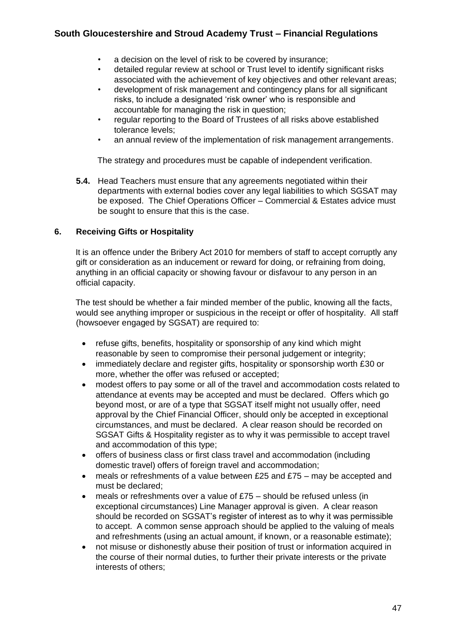- a decision on the level of risk to be covered by insurance;
- detailed regular review at school or Trust level to identify significant risks associated with the achievement of key objectives and other relevant areas;
- development of risk management and contingency plans for all significant risks, to include a designated 'risk owner' who is responsible and accountable for managing the risk in question;
- regular reporting to the Board of Trustees of all risks above established tolerance levels;
- an annual review of the implementation of risk management arrangements.

The strategy and procedures must be capable of independent verification.

**5.4.** Head Teachers must ensure that any agreements negotiated within their departments with external bodies cover any legal liabilities to which SGSAT may be exposed. The Chief Operations Officer – Commercial & Estates advice must be sought to ensure that this is the case.

# **6. Receiving Gifts or Hospitality**

It is an offence under the Bribery Act 2010 for members of staff to accept corruptly any gift or consideration as an inducement or reward for doing, or refraining from doing, anything in an official capacity or showing favour or disfavour to any person in an official capacity.

The test should be whether a fair minded member of the public, knowing all the facts, would see anything improper or suspicious in the receipt or offer of hospitality. All staff (howsoever engaged by SGSAT) are required to:

- refuse gifts, benefits, hospitality or sponsorship of any kind which might reasonable by seen to compromise their personal judgement or integrity;
- immediately declare and register gifts, hospitality or sponsorship worth £30 or more, whether the offer was refused or accepted;
- modest offers to pay some or all of the travel and accommodation costs related to attendance at events may be accepted and must be declared. Offers which go beyond most, or are of a type that SGSAT itself might not usually offer, need approval by the Chief Financial Officer, should only be accepted in exceptional circumstances, and must be declared. A clear reason should be recorded on SGSAT Gifts & Hospitality register as to why it was permissible to accept travel and accommodation of this type;
- offers of business class or first class travel and accommodation (including domestic travel) offers of foreign travel and accommodation;
- meals or refreshments of a value between £25 and £75 may be accepted and must be declared;
- meals or refreshments over a value of £75 should be refused unless (in exceptional circumstances) Line Manager approval is given. A clear reason should be recorded on SGSAT's register of interest as to why it was permissible to accept. A common sense approach should be applied to the valuing of meals and refreshments (using an actual amount, if known, or a reasonable estimate);
- not misuse or dishonestly abuse their position of trust or information acquired in the course of their normal duties, to further their private interests or the private interests of others;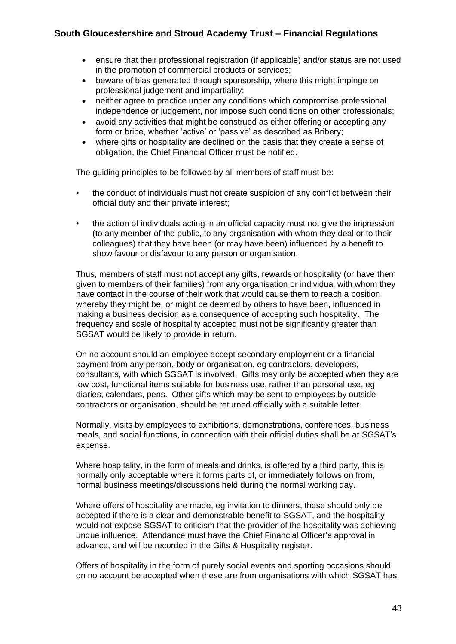- ensure that their professional registration (if applicable) and/or status are not used in the promotion of commercial products or services;
- beware of bias generated through sponsorship, where this might impinge on professional judgement and impartiality;
- neither agree to practice under any conditions which compromise professional independence or judgement, nor impose such conditions on other professionals;
- avoid any activities that might be construed as either offering or accepting any form or bribe, whether 'active' or 'passive' as described as Bribery;
- where gifts or hospitality are declined on the basis that they create a sense of obligation, the Chief Financial Officer must be notified.

The guiding principles to be followed by all members of staff must be:

- the conduct of individuals must not create suspicion of any conflict between their official duty and their private interest;
- the action of individuals acting in an official capacity must not give the impression (to any member of the public, to any organisation with whom they deal or to their colleagues) that they have been (or may have been) influenced by a benefit to show favour or disfavour to any person or organisation.

Thus, members of staff must not accept any gifts, rewards or hospitality (or have them given to members of their families) from any organisation or individual with whom they have contact in the course of their work that would cause them to reach a position whereby they might be, or might be deemed by others to have been, influenced in making a business decision as a consequence of accepting such hospitality. The frequency and scale of hospitality accepted must not be significantly greater than SGSAT would be likely to provide in return.

On no account should an employee accept secondary employment or a financial payment from any person, body or organisation, eg contractors, developers, consultants, with which SGSAT is involved. Gifts may only be accepted when they are low cost, functional items suitable for business use, rather than personal use, eg diaries, calendars, pens. Other gifts which may be sent to employees by outside contractors or organisation, should be returned officially with a suitable letter.

Normally, visits by employees to exhibitions, demonstrations, conferences, business meals, and social functions, in connection with their official duties shall be at SGSAT's expense.

Where hospitality, in the form of meals and drinks, is offered by a third party, this is normally only acceptable where it forms parts of, or immediately follows on from, normal business meetings/discussions held during the normal working day.

Where offers of hospitality are made, eg invitation to dinners, these should only be accepted if there is a clear and demonstrable benefit to SGSAT, and the hospitality would not expose SGSAT to criticism that the provider of the hospitality was achieving undue influence. Attendance must have the Chief Financial Officer's approval in advance, and will be recorded in the Gifts & Hospitality register.

Offers of hospitality in the form of purely social events and sporting occasions should on no account be accepted when these are from organisations with which SGSAT has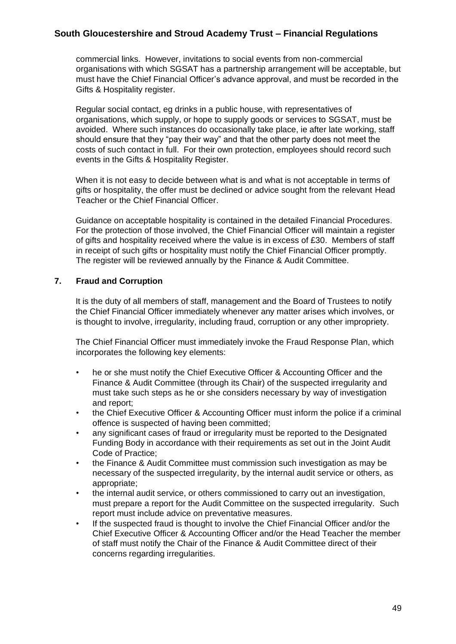commercial links. However, invitations to social events from non-commercial organisations with which SGSAT has a partnership arrangement will be acceptable, but must have the Chief Financial Officer's advance approval, and must be recorded in the Gifts & Hospitality register.

Regular social contact, eg drinks in a public house, with representatives of organisations, which supply, or hope to supply goods or services to SGSAT, must be avoided. Where such instances do occasionally take place, ie after late working, staff should ensure that they "pay their way" and that the other party does not meet the costs of such contact in full. For their own protection, employees should record such events in the Gifts & Hospitality Register.

When it is not easy to decide between what is and what is not acceptable in terms of gifts or hospitality, the offer must be declined or advice sought from the relevant Head Teacher or the Chief Financial Officer.

Guidance on acceptable hospitality is contained in the detailed Financial Procedures. For the protection of those involved, the Chief Financial Officer will maintain a register of gifts and hospitality received where the value is in excess of £30. Members of staff in receipt of such gifts or hospitality must notify the Chief Financial Officer promptly. The register will be reviewed annually by the Finance & Audit Committee.

#### **7. Fraud and Corruption**

It is the duty of all members of staff, management and the Board of Trustees to notify the Chief Financial Officer immediately whenever any matter arises which involves, or is thought to involve, irregularity, including fraud, corruption or any other impropriety.

The Chief Financial Officer must immediately invoke the Fraud Response Plan, which incorporates the following key elements:

- he or she must notify the Chief Executive Officer & Accounting Officer and the Finance & Audit Committee (through its Chair) of the suspected irregularity and must take such steps as he or she considers necessary by way of investigation and report;
- the Chief Executive Officer & Accounting Officer must inform the police if a criminal offence is suspected of having been committed;
- any significant cases of fraud or irregularity must be reported to the Designated Funding Body in accordance with their requirements as set out in the Joint Audit Code of Practice;
- the Finance & Audit Committee must commission such investigation as may be necessary of the suspected irregularity, by the internal audit service or others, as appropriate;
- the internal audit service, or others commissioned to carry out an investigation, must prepare a report for the Audit Committee on the suspected irregularity. Such report must include advice on preventative measures.
- If the suspected fraud is thought to involve the Chief Financial Officer and/or the Chief Executive Officer & Accounting Officer and/or the Head Teacher the member of staff must notify the Chair of the Finance & Audit Committee direct of their concerns regarding irregularities.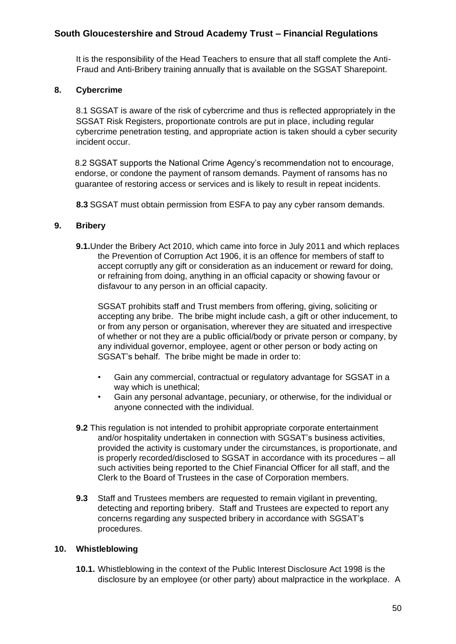It is the responsibility of the Head Teachers to ensure that all staff complete the Anti-Fraud and Anti-Bribery training annually that is available on the SGSAT Sharepoint.

#### **8. Cybercrime**

8.1 SGSAT is aware of the risk of cybercrime and thus is reflected appropriately in the SGSAT Risk Registers, proportionate controls are put in place, including regular cybercrime penetration testing, and appropriate action is taken should a cyber security incident occur.

8.2 SGSAT supports the National Crime Agency's recommendation not to encourage, endorse, or condone the payment of ransom demands. Payment of ransoms has no guarantee of restoring access or services and is likely to result in repeat incidents.

**8.3** SGSAT must obtain permission from ESFA to pay any cyber ransom demands.

#### **9. Bribery**

**9.1.**Under the Bribery Act 2010, which came into force in July 2011 and which replaces the Prevention of Corruption Act 1906, it is an offence for members of staff to accept corruptly any gift or consideration as an inducement or reward for doing, or refraining from doing, anything in an official capacity or showing favour or disfavour to any person in an official capacity.

SGSAT prohibits staff and Trust members from offering, giving, soliciting or accepting any bribe. The bribe might include cash, a gift or other inducement, to or from any person or organisation, wherever they are situated and irrespective of whether or not they are a public official/body or private person or company, by any individual governor, employee, agent or other person or body acting on SGSAT's behalf. The bribe might be made in order to:

- Gain any commercial, contractual or regulatory advantage for SGSAT in a way which is unethical;
- Gain any personal advantage, pecuniary, or otherwise, for the individual or anyone connected with the individual.
- **9.2** This regulation is not intended to prohibit appropriate corporate entertainment and/or hospitality undertaken in connection with SGSAT's business activities, provided the activity is customary under the circumstances, is proportionate, and is properly recorded/disclosed to SGSAT in accordance with its procedures – all such activities being reported to the Chief Financial Officer for all staff, and the Clerk to the Board of Trustees in the case of Corporation members.
- **9.3** Staff and Trustees members are requested to remain vigilant in preventing, detecting and reporting bribery. Staff and Trustees are expected to report any concerns regarding any suspected bribery in accordance with SGSAT's procedures.

#### **10. Whistleblowing**

**10.1.** Whistleblowing in the context of the Public Interest Disclosure Act 1998 is the disclosure by an employee (or other party) about malpractice in the workplace. A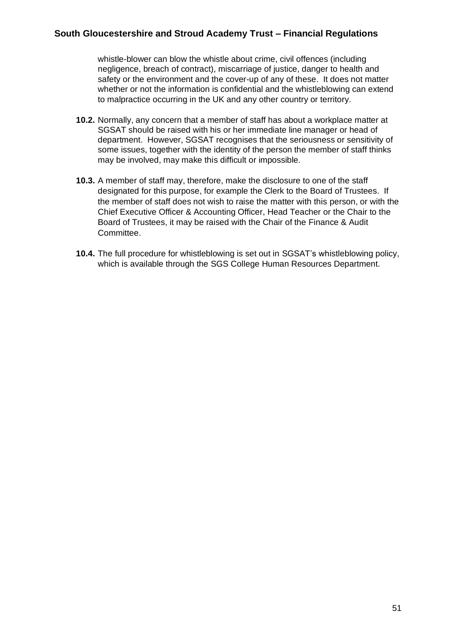whistle-blower can blow the whistle about crime, civil offences (including negligence, breach of contract), miscarriage of justice, danger to health and safety or the environment and the cover-up of any of these. It does not matter whether or not the information is confidential and the whistleblowing can extend to malpractice occurring in the UK and any other country or territory.

- **10.2.** Normally, any concern that a member of staff has about a workplace matter at SGSAT should be raised with his or her immediate line manager or head of department. However, SGSAT recognises that the seriousness or sensitivity of some issues, together with the identity of the person the member of staff thinks may be involved, may make this difficult or impossible.
- **10.3.** A member of staff may, therefore, make the disclosure to one of the staff designated for this purpose, for example the Clerk to the Board of Trustees. If the member of staff does not wish to raise the matter with this person, or with the Chief Executive Officer & Accounting Officer, Head Teacher or the Chair to the Board of Trustees, it may be raised with the Chair of the Finance & Audit Committee.
- **10.4.** The full procedure for whistleblowing is set out in SGSAT's whistleblowing policy, which is available through the SGS College Human Resources Department.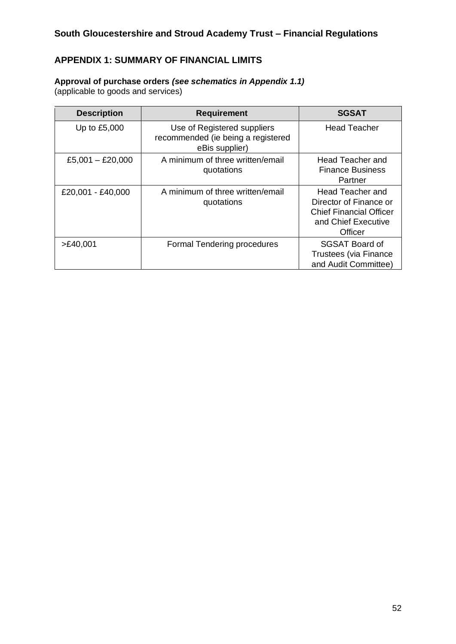# **APPENDIX 1: SUMMARY OF FINANCIAL LIMITS**

# **Approval of purchase orders** *(see schematics in Appendix 1.1)*

(applicable to goods and services)

| <b>Description</b> | <b>Requirement</b>                                                                  | <b>SGSAT</b>                                                                                                   |
|--------------------|-------------------------------------------------------------------------------------|----------------------------------------------------------------------------------------------------------------|
| Up to £5,000       | Use of Registered suppliers<br>recommended (ie being a registered<br>eBis supplier) | <b>Head Teacher</b>                                                                                            |
| £5,001 $-$ £20,000 | A minimum of three written/email<br>quotations                                      | Head Teacher and<br><b>Finance Business</b><br>Partner                                                         |
| £20,001 - £40,000  | A minimum of three written/email<br>quotations                                      | Head Teacher and<br>Director of Finance or<br><b>Chief Financial Officer</b><br>and Chief Executive<br>Officer |
| >E40,001           | Formal Tendering procedures                                                         | SGSAT Board of<br><b>Trustees (via Finance</b><br>and Audit Committee)                                         |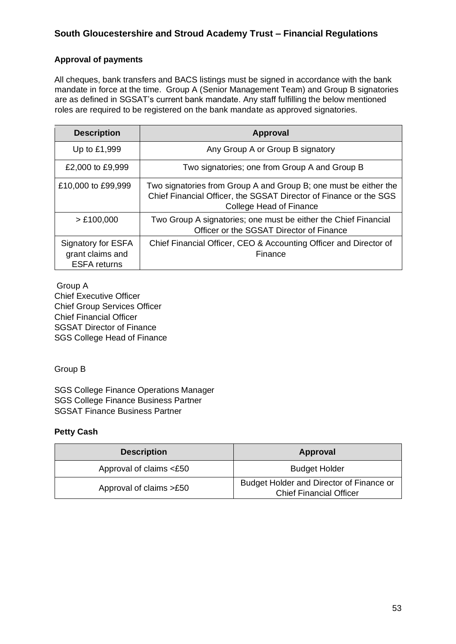# **Approval of payments**

All cheques, bank transfers and BACS listings must be signed in accordance with the bank mandate in force at the time. Group A (Senior Management Team) and Group B signatories are as defined in SGSAT's current bank mandate. Any staff fulfilling the below mentioned roles are required to be registered on the bank mandate as approved signatories.

| <b>Description</b>                                            | Approval                                                                                                                                                         |  |
|---------------------------------------------------------------|------------------------------------------------------------------------------------------------------------------------------------------------------------------|--|
| Up to £1,999                                                  | Any Group A or Group B signatory                                                                                                                                 |  |
| £2,000 to £9,999                                              | Two signatories; one from Group A and Group B                                                                                                                    |  |
| £10,000 to £99,999                                            | Two signatories from Group A and Group B; one must be either the<br>Chief Financial Officer, the SGSAT Director of Finance or the SGS<br>College Head of Finance |  |
| > £100,000                                                    | Two Group A signatories; one must be either the Chief Financial<br>Officer or the SGSAT Director of Finance                                                      |  |
| Signatory for ESFA<br>grant claims and<br><b>ESFA</b> returns | Chief Financial Officer, CEO & Accounting Officer and Director of<br>Finance                                                                                     |  |

Group A Chief Executive Officer Chief Group Services Officer Chief Financial Officer SGSAT Director of Finance SGS College Head of Finance

Group B

SGS College Finance Operations Manager SGS College Finance Business Partner SGSAT Finance Business Partner

# **Petty Cash**

| <b>Description</b>      | Approval                                                                   |
|-------------------------|----------------------------------------------------------------------------|
| Approval of claims <£50 | <b>Budget Holder</b>                                                       |
| Approval of claims >£50 | Budget Holder and Director of Finance or<br><b>Chief Financial Officer</b> |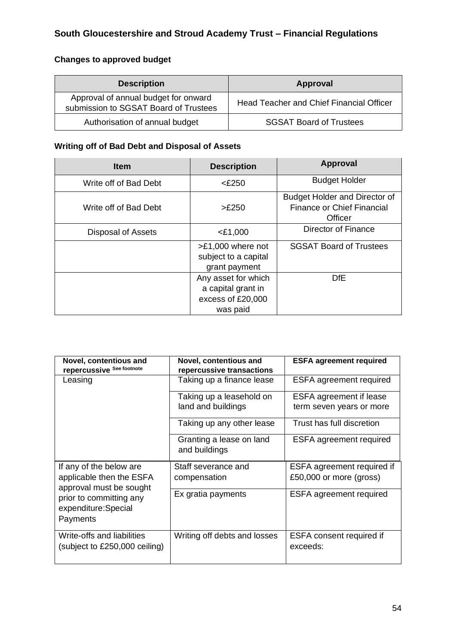# **Changes to approved budget**

| <b>Description</b>                                                            | Approval                                        |
|-------------------------------------------------------------------------------|-------------------------------------------------|
| Approval of annual budget for onward<br>submission to SGSAT Board of Trustees | <b>Head Teacher and Chief Financial Officer</b> |
| Authorisation of annual budget                                                | <b>SGSAT Board of Trustees</b>                  |

# **Writing off of Bad Debt and Disposal of Assets**

| <b>Item</b>           | <b>Description</b>                                                         | Approval                                                                             |
|-----------------------|----------------------------------------------------------------------------|--------------------------------------------------------------------------------------|
| Write off of Bad Debt | $<$ £250                                                                   | <b>Budget Holder</b>                                                                 |
| Write off of Bad Debt | >£250                                                                      | <b>Budget Holder and Director of</b><br><b>Finance or Chief Financial</b><br>Officer |
| Disposal of Assets    | $<$ £1,000                                                                 | Director of Finance                                                                  |
|                       | $>E1,000$ where not<br>subject to a capital<br>grant payment               | <b>SGSAT Board of Trustees</b>                                                       |
|                       | Any asset for which<br>a capital grant in<br>excess of £20,000<br>was paid | DfE                                                                                  |

| Novel, contentious and<br>repercussive See footnote                            | Novel, contentious and<br>repercussive transactions | <b>ESFA agreement required</b>                             |
|--------------------------------------------------------------------------------|-----------------------------------------------------|------------------------------------------------------------|
| Leasing                                                                        | Taking up a finance lease                           | <b>ESFA agreement required</b>                             |
|                                                                                | Taking up a leasehold on<br>land and buildings      | <b>ESFA</b> agreement if lease<br>term seven years or more |
|                                                                                | Taking up any other lease                           | Trust has full discretion                                  |
|                                                                                | Granting a lease on land<br>and buildings           | <b>ESFA</b> agreement required                             |
| If any of the below are<br>applicable then the ESFA<br>approval must be sought | Staff severance and<br>compensation                 | ESFA agreement required if<br>£50,000 or more (gross)      |
| prior to committing any<br>expenditure:Special<br>Payments                     | Ex gratia payments                                  | <b>ESFA agreement required</b>                             |
| Write-offs and liabilities<br>(subject to £250,000 ceiling)                    | Writing off debts and losses                        | ESFA consent required if<br>exceeds:                       |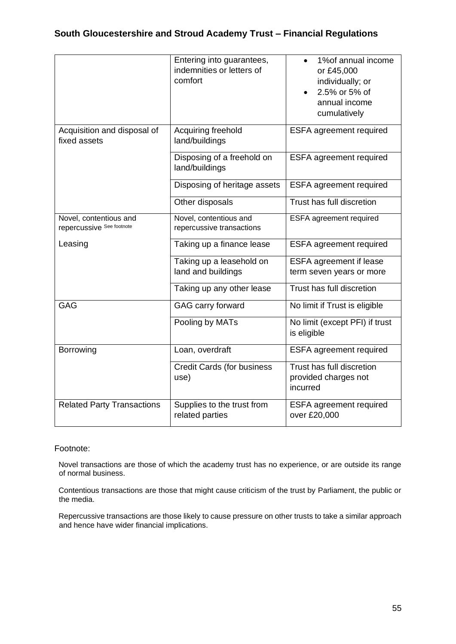|                                                     | Entering into guarantees,<br>indemnities or letters of<br>comfort | 1% of annual income<br>$\bullet$<br>or £45,000<br>individually; or<br>2.5% or 5% of<br>annual income<br>cumulatively |
|-----------------------------------------------------|-------------------------------------------------------------------|----------------------------------------------------------------------------------------------------------------------|
| Acquisition and disposal of<br>fixed assets         | Acquiring freehold<br>land/buildings                              | ESFA agreement required                                                                                              |
|                                                     | Disposing of a freehold on<br>land/buildings                      | <b>ESFA</b> agreement required                                                                                       |
|                                                     | Disposing of heritage assets                                      | <b>ESFA agreement required</b>                                                                                       |
|                                                     | Other disposals                                                   | Trust has full discretion                                                                                            |
| Novel, contentious and<br>repercussive See footnote | Novel, contentious and<br>repercussive transactions               | ESFA agreement required                                                                                              |
| Leasing                                             | Taking up a finance lease                                         | <b>ESFA</b> agreement required                                                                                       |
|                                                     | Taking up a leasehold on<br>land and buildings                    | <b>ESFA agreement if lease</b><br>term seven years or more                                                           |
|                                                     | Taking up any other lease                                         | Trust has full discretion                                                                                            |
| <b>GAG</b>                                          | GAG carry forward                                                 | No limit if Trust is eligible                                                                                        |
|                                                     | Pooling by MATs                                                   | No limit (except PFI) if trust<br>is eligible                                                                        |
| Borrowing                                           | Loan, overdraft                                                   | <b>ESFA</b> agreement required                                                                                       |
|                                                     | <b>Credit Cards (for business</b><br>use)                         | Trust has full discretion<br>provided charges not<br>incurred                                                        |
| <b>Related Party Transactions</b>                   | Supplies to the trust from<br>related parties                     | <b>ESFA</b> agreement required<br>over £20,000                                                                       |

#### Footnote:

Novel transactions are those of which the academy trust has no experience, or are outside its range of normal business.

Contentious transactions are those that might cause criticism of the trust by Parliament, the public or the media.

Repercussive transactions are those likely to cause pressure on other trusts to take a similar approach and hence have wider financial implications.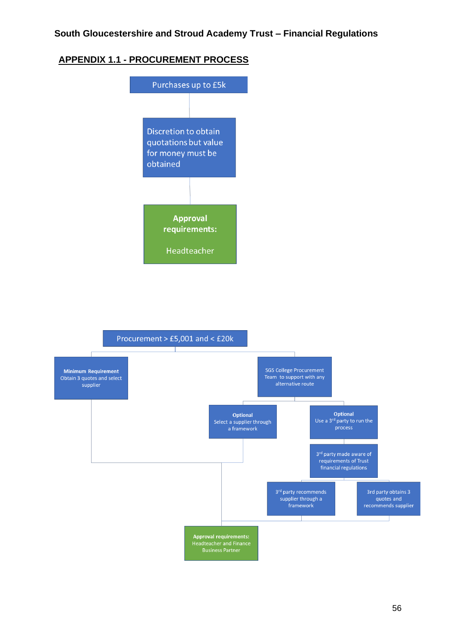# **APPENDIX 1.1 - PROCUREMENT PROCESS**



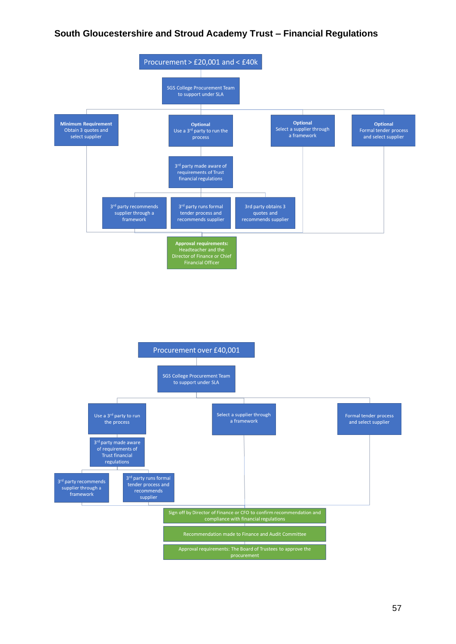

57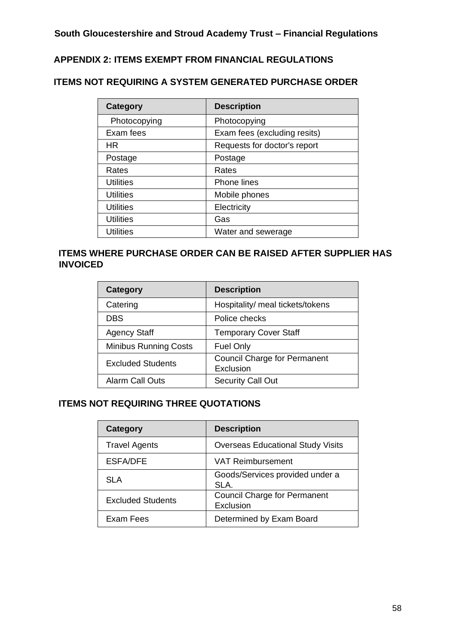# **APPENDIX 2: ITEMS EXEMPT FROM FINANCIAL REGULATIONS**

# **ITEMS NOT REQUIRING A SYSTEM GENERATED PURCHASE ORDER**

| <b>Category</b>  | <b>Description</b>           |
|------------------|------------------------------|
| Photocopying     | Photocopying                 |
| Exam fees        | Exam fees (excluding resits) |
| HR               | Requests for doctor's report |
| Postage          | Postage                      |
| Rates            | Rates                        |
| <b>Utilities</b> | <b>Phone lines</b>           |
| <b>Utilities</b> | Mobile phones                |
| <b>Utilities</b> | Electricity                  |
| Utilities        | Gas                          |
| Utilities        | Water and sewerage           |

# **ITEMS WHERE PURCHASE ORDER CAN BE RAISED AFTER SUPPLIER HAS INVOICED**

| Category                     | <b>Description</b>                               |
|------------------------------|--------------------------------------------------|
| Catering                     | Hospitality/ meal tickets/tokens                 |
| <b>DBS</b>                   | Police checks                                    |
| <b>Agency Staff</b>          | <b>Temporary Cover Staff</b>                     |
| <b>Minibus Running Costs</b> | <b>Fuel Only</b>                                 |
| <b>Excluded Students</b>     | <b>Council Charge for Permanent</b><br>Exclusion |
| <b>Alarm Call Outs</b>       | <b>Security Call Out</b>                         |

# **ITEMS NOT REQUIRING THREE QUOTATIONS**

| Category                 | <b>Description</b>                               |
|--------------------------|--------------------------------------------------|
| <b>Travel Agents</b>     | <b>Overseas Educational Study Visits</b>         |
| <b>ESFA/DFE</b>          | <b>VAT Reimbursement</b>                         |
| SLA                      | Goods/Services provided under a<br>SLA.          |
| <b>Excluded Students</b> | <b>Council Charge for Permanent</b><br>Exclusion |
| Exam Fees                | Determined by Exam Board                         |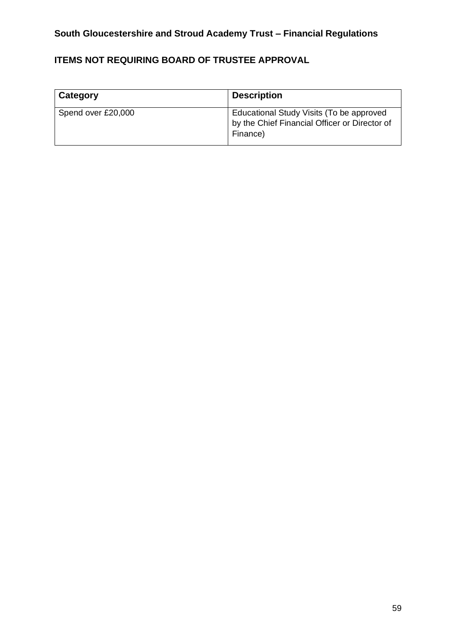# **ITEMS NOT REQUIRING BOARD OF TRUSTEE APPROVAL**

| Category           | <b>Description</b>                                                                                    |
|--------------------|-------------------------------------------------------------------------------------------------------|
| Spend over £20,000 | Educational Study Visits (To be approved<br>by the Chief Financial Officer or Director of<br>Finance) |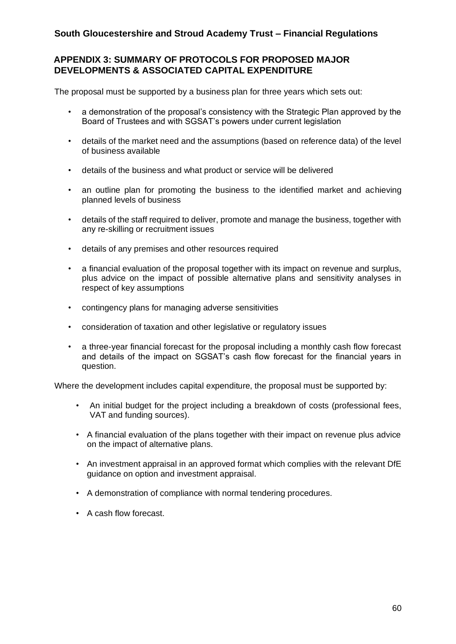# **APPENDIX 3: SUMMARY OF PROTOCOLS FOR PROPOSED MAJOR DEVELOPMENTS & ASSOCIATED CAPITAL EXPENDITURE**

The proposal must be supported by a business plan for three years which sets out:

- a demonstration of the proposal's consistency with the Strategic Plan approved by the Board of Trustees and with SGSAT's powers under current legislation
- details of the market need and the assumptions (based on reference data) of the level of business available
- details of the business and what product or service will be delivered
- an outline plan for promoting the business to the identified market and achieving planned levels of business
- details of the staff required to deliver, promote and manage the business, together with any re-skilling or recruitment issues
- details of any premises and other resources required
- a financial evaluation of the proposal together with its impact on revenue and surplus, plus advice on the impact of possible alternative plans and sensitivity analyses in respect of key assumptions
- contingency plans for managing adverse sensitivities
- consideration of taxation and other legislative or regulatory issues
- a three-year financial forecast for the proposal including a monthly cash flow forecast and details of the impact on SGSAT's cash flow forecast for the financial years in question.

Where the development includes capital expenditure, the proposal must be supported by:

- An initial budget for the project including a breakdown of costs (professional fees, VAT and funding sources).
- A financial evaluation of the plans together with their impact on revenue plus advice on the impact of alternative plans.
- An investment appraisal in an approved format which complies with the relevant DfE guidance on option and investment appraisal.
- A demonstration of compliance with normal tendering procedures.
- A cash flow forecast.